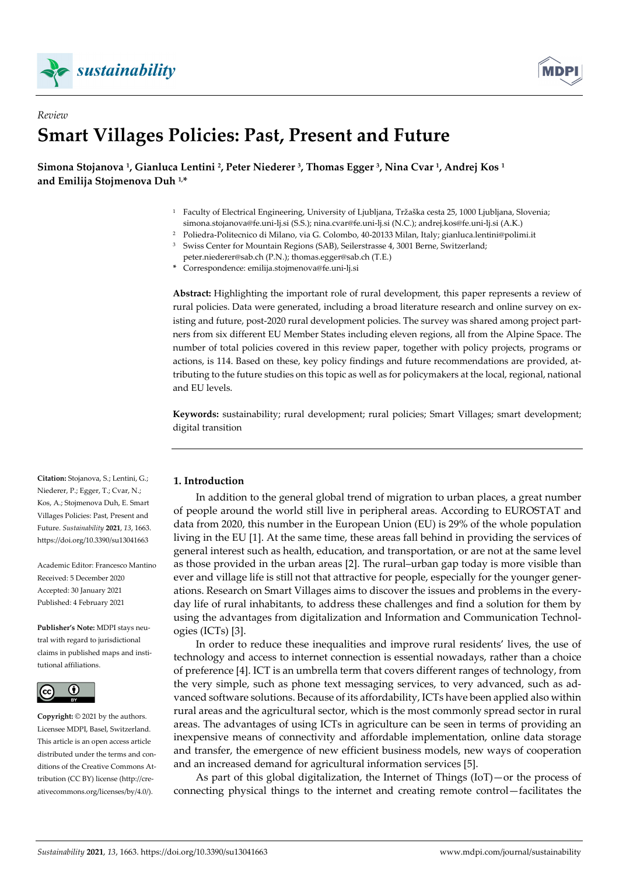



# *Review*  **Smart Villages Policies: Past, Present and Future**

**Simona Stojanova 1, Gianluca Lentini 2, Peter Niederer 3, Thomas Egger 3, Nina Cvar 1, Andrej Kos 1 and Emilija Stojmenova Duh 1,\*** 

- 1 Faculty of Electrical Engineering, University of Ljubljana, Tržaška cesta 25, 1000 Ljubljana, Slovenia; simona.stojanova@fe.uni-lj.si (S.S.); nina.cvar@fe.uni-lj.si (N.C.); andrej.kos@fe.uni-lj.si (A.K.)
- 2 Poliedra-Politecnico di Milano, via G. Colombo, 40-20133 Milan, Italy; gianluca.lentini@polimi.it
- 3 Swiss Center for Mountain Regions (SAB), Seilerstrasse 4, 3001 Berne, Switzerland;
- peter.niederer@sab.ch (P.N.); thomas.egger@sab.ch (T.E.)

**\*** Correspondence: emilija.stojmenova@fe.uni-lj.si

**Abstract:** Highlighting the important role of rural development, this paper represents a review of rural policies. Data were generated, including a broad literature research and online survey on existing and future, post-2020 rural development policies. The survey was shared among project partners from six different EU Member States including eleven regions, all from the Alpine Space. The number of total policies covered in this review paper, together with policy projects, programs or actions, is 114. Based on these, key policy findings and future recommendations are provided, attributing to the future studies on this topic as well as for policymakers at the local, regional, national and EU levels.

**Keywords:** sustainability; rural development; rural policies; Smart Villages; smart development; digital transition

# **1. Introduction**

In addition to the general global trend of migration to urban places, a great number of people around the world still live in peripheral areas. According to EUROSTAT and data from 2020, this number in the European Union (EU) is 29% of the whole population living in the EU [1]. At the same time, these areas fall behind in providing the services of general interest such as health, education, and transportation, or are not at the same level as those provided in the urban areas [2]. The rural–urban gap today is more visible than ever and village life is still not that attractive for people, especially for the younger generations. Research on Smart Villages aims to discover the issues and problems in the everyday life of rural inhabitants, to address these challenges and find a solution for them by using the advantages from digitalization and Information and Communication Technologies (ICTs) [3].

In order to reduce these inequalities and improve rural residents' lives, the use of technology and access to internet connection is essential nowadays, rather than a choice of preference [4]. ICT is an umbrella term that covers different ranges of technology, from the very simple, such as phone text messaging services, to very advanced, such as advanced software solutions. Because of its affordability, ICTs have been applied also within rural areas and the agricultural sector, which is the most commonly spread sector in rural areas. The advantages of using ICTs in agriculture can be seen in terms of providing an inexpensive means of connectivity and affordable implementation, online data storage and transfer, the emergence of new efficient business models, new ways of cooperation and an increased demand for agricultural information services [5].

As part of this global digitalization, the Internet of Things (IoT)—or the process of connecting physical things to the internet and creating remote control—facilitates the

**Citation:** Stojanova, S.; Lentini, G.; Niederer, P.; Egger, T.; Cvar, N.; Kos, A.; Stojmenova Duh, E. Smart Villages Policies: Past, Present and Future. *Sustainability* **2021**, *13*, 1663. https://doi.org/10.3390/su13041663

Academic Editor: Francesco Mantino Received: 5 December 2020 Accepted: 30 January 2021 Published: 4 February 2021

**Publisher's Note:** MDPI stays neutral with regard to jurisdictional claims in published maps and institutional affiliations.



**Copyright:** © 2021 by the authors. Licensee MDPI, Basel, Switzerland. This article is an open access article distributed under the terms and conditions of the Creative Commons Attribution (CC BY) license (http://creativecommons.org/licenses/by/4.0/).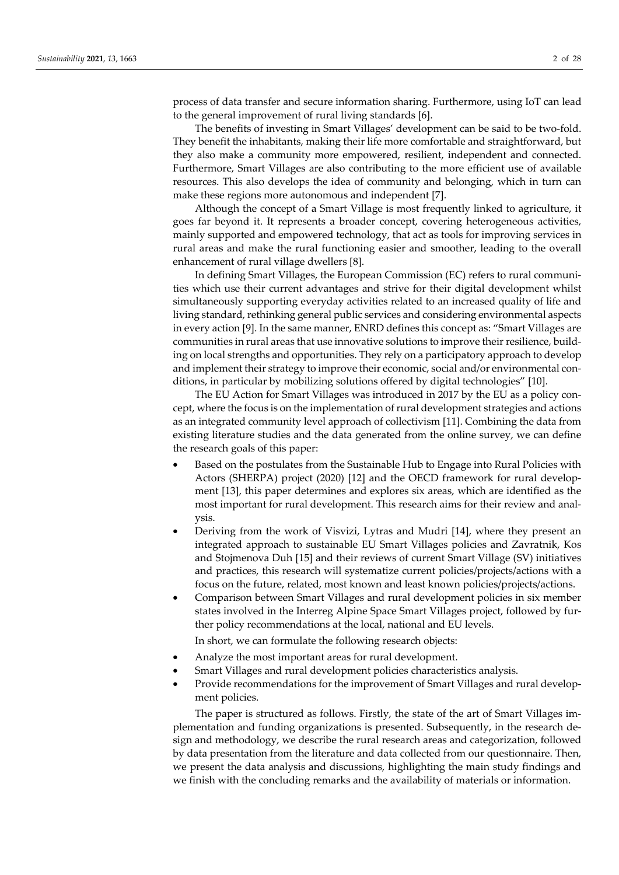process of data transfer and secure information sharing. Furthermore, using IoT can lead to the general improvement of rural living standards [6].

The benefits of investing in Smart Villages' development can be said to be two-fold. They benefit the inhabitants, making their life more comfortable and straightforward, but they also make a community more empowered, resilient, independent and connected. Furthermore, Smart Villages are also contributing to the more efficient use of available resources. This also develops the idea of community and belonging, which in turn can make these regions more autonomous and independent [7].

Although the concept of a Smart Village is most frequently linked to agriculture, it goes far beyond it. It represents a broader concept, covering heterogeneous activities, mainly supported and empowered technology, that act as tools for improving services in rural areas and make the rural functioning easier and smoother, leading to the overall enhancement of rural village dwellers [8].

In defining Smart Villages, the European Commission (EC) refers to rural communities which use their current advantages and strive for their digital development whilst simultaneously supporting everyday activities related to an increased quality of life and living standard, rethinking general public services and considering environmental aspects in every action [9]. In the same manner, ENRD defines this concept as: "Smart Villages are communities in rural areas that use innovative solutions to improve their resilience, building on local strengths and opportunities. They rely on a participatory approach to develop and implement their strategy to improve their economic, social and/or environmental conditions, in particular by mobilizing solutions offered by digital technologies" [10].

The EU Action for Smart Villages was introduced in 2017 by the EU as a policy concept, where the focus is on the implementation of rural development strategies and actions as an integrated community level approach of collectivism [11]. Combining the data from existing literature studies and the data generated from the online survey, we can define the research goals of this paper:

- Based on the postulates from the Sustainable Hub to Engage into Rural Policies with Actors (SHERPA) project (2020) [12] and the OECD framework for rural development [13], this paper determines and explores six areas, which are identified as the most important for rural development. This research aims for their review and analysis.
- Deriving from the work of Visvizi, Lytras and Mudri [14], where they present an integrated approach to sustainable EU Smart Villages policies and Zavratnik, Kos and Stojmenova Duh [15] and their reviews of current Smart Village (SV) initiatives and practices, this research will systematize current policies/projects/actions with a focus on the future, related, most known and least known policies/projects/actions.
- Comparison between Smart Villages and rural development policies in six member states involved in the Interreg Alpine Space Smart Villages project, followed by further policy recommendations at the local, national and EU levels.

In short, we can formulate the following research objects:

- Analyze the most important areas for rural development.
- Smart Villages and rural development policies characteristics analysis.
- Provide recommendations for the improvement of Smart Villages and rural development policies.

The paper is structured as follows. Firstly, the state of the art of Smart Villages implementation and funding organizations is presented. Subsequently, in the research design and methodology, we describe the rural research areas and categorization, followed by data presentation from the literature and data collected from our questionnaire. Then, we present the data analysis and discussions, highlighting the main study findings and we finish with the concluding remarks and the availability of materials or information.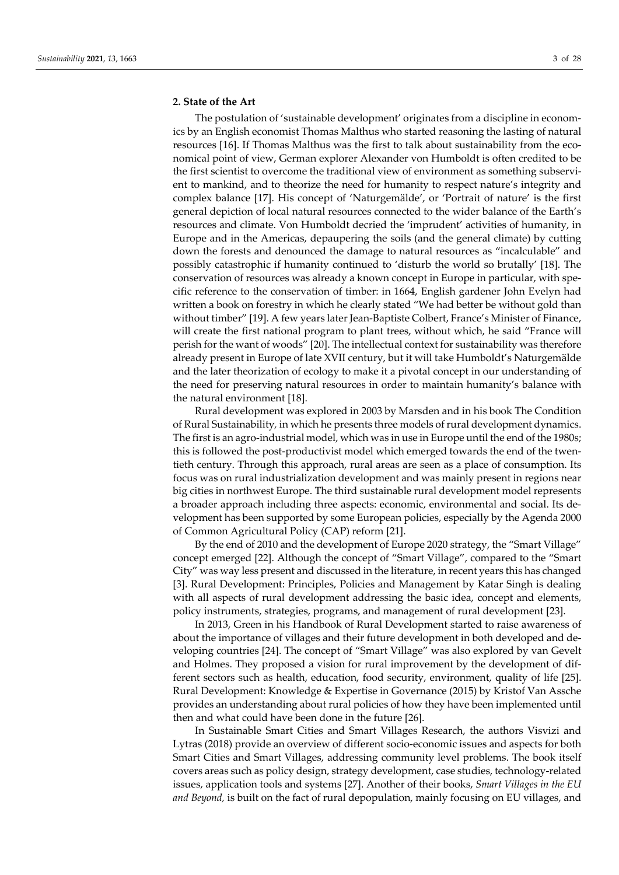# **2. State of the Art**

The postulation of 'sustainable development' originates from a discipline in economics by an English economist Thomas Malthus who started reasoning the lasting of natural resources [16]. If Thomas Malthus was the first to talk about sustainability from the economical point of view, German explorer Alexander von Humboldt is often credited to be the first scientist to overcome the traditional view of environment as something subservient to mankind, and to theorize the need for humanity to respect nature's integrity and complex balance [17]. His concept of 'Naturgemälde', or 'Portrait of nature' is the first general depiction of local natural resources connected to the wider balance of the Earth's resources and climate. Von Humboldt decried the 'imprudent' activities of humanity, in Europe and in the Americas, depaupering the soils (and the general climate) by cutting down the forests and denounced the damage to natural resources as "incalculable" and possibly catastrophic if humanity continued to 'disturb the world so brutally' [18]. The conservation of resources was already a known concept in Europe in particular, with specific reference to the conservation of timber: in 1664, English gardener John Evelyn had written a book on forestry in which he clearly stated "We had better be without gold than without timber" [19]. A few years later Jean-Baptiste Colbert, France's Minister of Finance, will create the first national program to plant trees, without which, he said "France will perish for the want of woods" [20]. The intellectual context for sustainability was therefore already present in Europe of late XVII century, but it will take Humboldt's Naturgemälde and the later theorization of ecology to make it a pivotal concept in our understanding of the need for preserving natural resources in order to maintain humanity's balance with the natural environment [18].

Rural development was explored in 2003 by Marsden and in his book The Condition of Rural Sustainability*,* in which he presents three models of rural development dynamics. The first is an agro-industrial model, which was in use in Europe until the end of the 1980s; this is followed the post-productivist model which emerged towards the end of the twentieth century. Through this approach, rural areas are seen as a place of consumption. Its focus was on rural industrialization development and was mainly present in regions near big cities in northwest Europe. The third sustainable rural development model represents a broader approach including three aspects: economic, environmental and social. Its development has been supported by some European policies, especially by the Agenda 2000 of Common Agricultural Policy (CAP) reform [21].

By the end of 2010 and the development of Europe 2020 strategy, the "Smart Village" concept emerged [22]. Although the concept of "Smart Village", compared to the "Smart City" was way less present and discussed in the literature, in recent years this has changed [3]. Rural Development: Principles, Policies and Management by Katar Singh is dealing with all aspects of rural development addressing the basic idea, concept and elements, policy instruments, strategies, programs, and management of rural development [23].

In 2013, Green in his Handbook of Rural Development started to raise awareness of about the importance of villages and their future development in both developed and developing countries [24]. The concept of "Smart Village" was also explored by van Gevelt and Holmes. They proposed a vision for rural improvement by the development of different sectors such as health, education, food security, environment, quality of life [25]. Rural Development: Knowledge & Expertise in Governance (2015) by Kristof Van Assche provides an understanding about rural policies of how they have been implemented until then and what could have been done in the future [26].

In Sustainable Smart Cities and Smart Villages Research, the authors Visvizi and Lytras (2018) provide an overview of different socio-economic issues and aspects for both Smart Cities and Smart Villages, addressing community level problems. The book itself covers areas such as policy design, strategy development, case studies, technology-related issues, application tools and systems [27]. Another of their books, *Smart Villages in the EU and Beyond,* is built on the fact of rural depopulation, mainly focusing on EU villages, and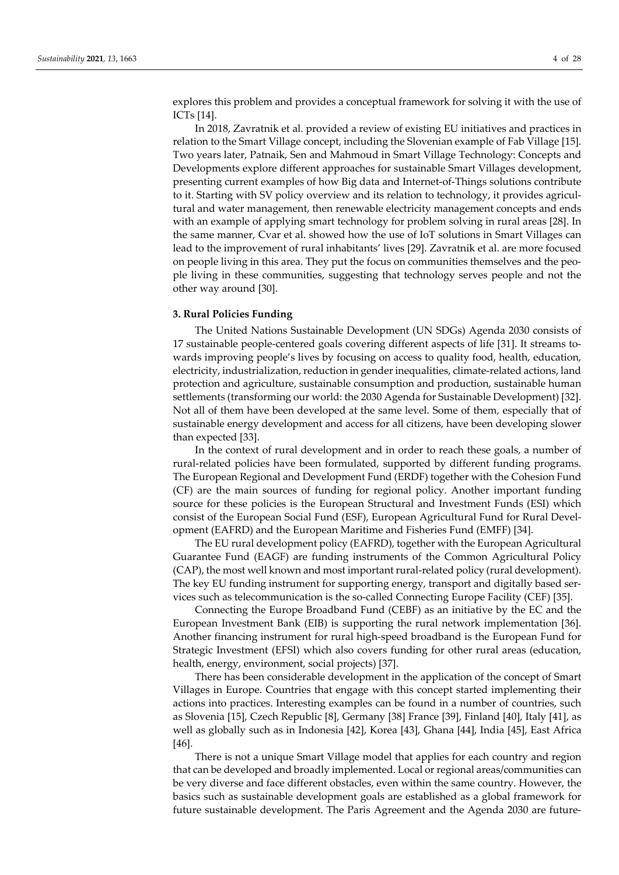explores this problem and provides a conceptual framework for solving it with the use of ICTs [14].

In 2018, Zavratnik et al. provided a review of existing EU initiatives and practices in relation to the Smart Village concept, including the Slovenian example of Fab Village [15]. Two years later, Patnaik, Sen and Mahmoud in Smart Village Technology: Concepts and Developments explore different approaches for sustainable Smart Villages development, presenting current examples of how Big data and Internet-of-Things solutions contribute to it. Starting with SV policy overview and its relation to technology, it provides agricultural and water management, then renewable electricity management concepts and ends with an example of applying smart technology for problem solving in rural areas [28]. In the same manner, Cvar et al. showed how the use of IoT solutions in Smart Villages can lead to the improvement of rural inhabitants' lives [29]. Zavratnik et al. are more focused on people living in this area. They put the focus on communities themselves and the people living in these communities, suggesting that technology serves people and not the other way around [30].

# **3. Rural Policies Funding**

The United Nations Sustainable Development (UN SDGs) Agenda 2030 consists of 17 sustainable people-centered goals covering different aspects of life [31]. It streams towards improving people's lives by focusing on access to quality food, health, education, electricity, industrialization, reduction in gender inequalities, climate-related actions, land protection and agriculture, sustainable consumption and production, sustainable human settlements (transforming our world: the 2030 Agenda for Sustainable Development) [32]. Not all of them have been developed at the same level. Some of them, especially that of sustainable energy development and access for all citizens, have been developing slower than expected [33].

In the context of rural development and in order to reach these goals, a number of rural-related policies have been formulated, supported by different funding programs. The European Regional and Development Fund (ERDF) together with the Cohesion Fund (CF) are the main sources of funding for regional policy. Another important funding source for these policies is the European Structural and Investment Funds (ESI) which consist of the European Social Fund (ESF), European Agricultural Fund for Rural Development (EAFRD) and the European Maritime and Fisheries Fund (EMFF) [34].

The EU rural development policy (EAFRD), together with the European Agricultural Guarantee Fund (EAGF) are funding instruments of the Common Agricultural Policy (CAP), the most well known and most important rural-related policy (rural development). The key EU funding instrument for supporting energy, transport and digitally based services such as telecommunication is the so-called Connecting Europe Facility (CEF) [35].

Connecting the Europe Broadband Fund (CEBF) as an initiative by the EC and the European Investment Bank (EIB) is supporting the rural network implementation [36]. Another financing instrument for rural high-speed broadband is the European Fund for Strategic Investment (EFSI) which also covers funding for other rural areas (education, health, energy, environment, social projects) [37].

There has been considerable development in the application of the concept of Smart Villages in Europe. Countries that engage with this concept started implementing their actions into practices. Interesting examples can be found in a number of countries, such as Slovenia [15], Czech Republic [8], Germany [38] France [39], Finland [40], Italy [41], as well as globally such as in Indonesia [42], Korea [43], Ghana [44], India [45], East Africa [46].

There is not a unique Smart Village model that applies for each country and region that can be developed and broadly implemented. Local or regional areas/communities can be very diverse and face different obstacles, even within the same country. However, the basics such as sustainable development goals are established as a global framework for future sustainable development. The Paris Agreement and the Agenda 2030 are future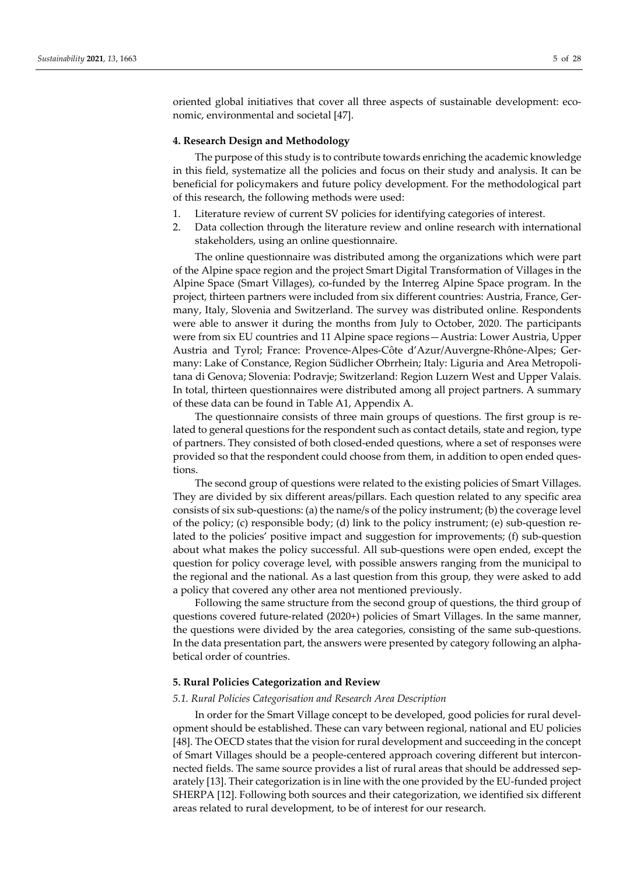oriented global initiatives that cover all three aspects of sustainable development: economic, environmental and societal [47].

## **4. Research Design and Methodology**

The purpose of this study is to contribute towards enriching the academic knowledge in this field, systematize all the policies and focus on their study and analysis. It can be beneficial for policymakers and future policy development. For the methodological part of this research, the following methods were used:

- 1. Literature review of current SV policies for identifying categories of interest.
- 2. Data collection through the literature review and online research with international stakeholders, using an online questionnaire.

The online questionnaire was distributed among the organizations which were part of the Alpine space region and the project Smart Digital Transformation of Villages in the Alpine Space (Smart Villages), co-funded by the Interreg Alpine Space program. In the project, thirteen partners were included from six different countries: Austria, France, Germany, Italy, Slovenia and Switzerland. The survey was distributed online. Respondents were able to answer it during the months from July to October, 2020. The participants were from six EU countries and 11 Alpine space regions—Austria: Lower Austria, Upper Austria and Tyrol; France: Provence-Alpes-Côte d'Azur/Auvergne-Rhône-Alpes; Germany: Lake of Constance, Region Südlicher Obrrhein; Italy: Liguria and Area Metropolitana di Genova; Slovenia: Podravje; Switzerland: Region Luzern West and Upper Valais. In total, thirteen questionnaires were distributed among all project partners. A summary of these data can be found in Table A1, Appendix A.

The questionnaire consists of three main groups of questions. The first group is related to general questions for the respondent such as contact details, state and region, type of partners. They consisted of both closed-ended questions, where a set of responses were provided so that the respondent could choose from them, in addition to open ended questions.

The second group of questions were related to the existing policies of Smart Villages. They are divided by six different areas/pillars. Each question related to any specific area consists of six sub-questions: (a) the name/s of the policy instrument; (b) the coverage level of the policy; (c) responsible body; (d) link to the policy instrument; (e) sub-question related to the policies' positive impact and suggestion for improvements; (f) sub-question about what makes the policy successful. All sub-questions were open ended, except the question for policy coverage level, with possible answers ranging from the municipal to the regional and the national. As a last question from this group, they were asked to add a policy that covered any other area not mentioned previously.

Following the same structure from the second group of questions, the third group of questions covered future-related (2020+) policies of Smart Villages. In the same manner, the questions were divided by the area categories, consisting of the same sub-questions. In the data presentation part, the answers were presented by category following an alphabetical order of countries.

# **5. Rural Policies Categorization and Review**

#### *5.1. Rural Policies Categorisation and Research Area Description*

In order for the Smart Village concept to be developed, good policies for rural development should be established. These can vary between regional, national and EU policies [48]. The OECD states that the vision for rural development and succeeding in the concept of Smart Villages should be a people-centered approach covering different but interconnected fields. The same source provides a list of rural areas that should be addressed separately [13]. Their categorization is in line with the one provided by the EU-funded project SHERPA [12]. Following both sources and their categorization, we identified six different areas related to rural development, to be of interest for our research.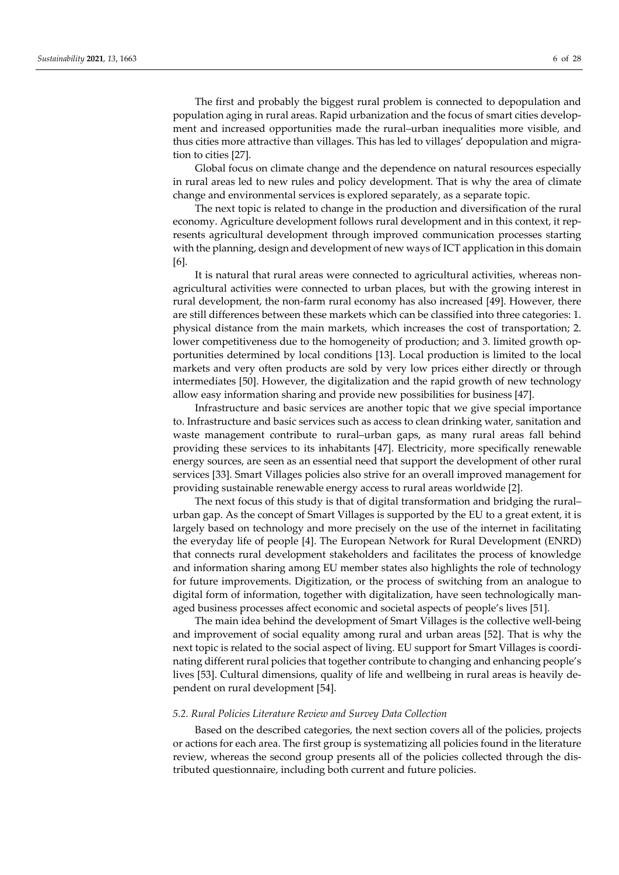ment and increased opportunities made the rural–urban inequalities more visible, and thus cities more attractive than villages. This has led to villages' depopulation and migration to cities [27].

Global focus on climate change and the dependence on natural resources especially in rural areas led to new rules and policy development. That is why the area of climate change and environmental services is explored separately, as a separate topic.

The next topic is related to change in the production and diversification of the rural economy. Agriculture development follows rural development and in this context, it represents agricultural development through improved communication processes starting with the planning, design and development of new ways of ICT application in this domain [6].

It is natural that rural areas were connected to agricultural activities, whereas nonagricultural activities were connected to urban places, but with the growing interest in rural development, the non-farm rural economy has also increased [49]. However, there are still differences between these markets which can be classified into three categories: 1. physical distance from the main markets, which increases the cost of transportation; 2. lower competitiveness due to the homogeneity of production; and 3. limited growth opportunities determined by local conditions [13]. Local production is limited to the local markets and very often products are sold by very low prices either directly or through intermediates [50]. However, the digitalization and the rapid growth of new technology allow easy information sharing and provide new possibilities for business [47].

Infrastructure and basic services are another topic that we give special importance to. Infrastructure and basic services such as access to clean drinking water, sanitation and waste management contribute to rural–urban gaps, as many rural areas fall behind providing these services to its inhabitants [47]. Electricity, more specifically renewable energy sources, are seen as an essential need that support the development of other rural services [33]. Smart Villages policies also strive for an overall improved management for providing sustainable renewable energy access to rural areas worldwide [2].

The next focus of this study is that of digital transformation and bridging the rural– urban gap. As the concept of Smart Villages is supported by the EU to a great extent, it is largely based on technology and more precisely on the use of the internet in facilitating the everyday life of people [4]. The European Network for Rural Development (ENRD) that connects rural development stakeholders and facilitates the process of knowledge and information sharing among EU member states also highlights the role of technology for future improvements. Digitization, or the process of switching from an analogue to digital form of information, together with digitalization, have seen technologically managed business processes affect economic and societal aspects of people's lives [51].

The main idea behind the development of Smart Villages is the collective well-being and improvement of social equality among rural and urban areas [52]. That is why the next topic is related to the social aspect of living. EU support for Smart Villages is coordinating different rural policies that together contribute to changing and enhancing people's lives [53]. Cultural dimensions, quality of life and wellbeing in rural areas is heavily dependent on rural development [54].

# *5.2. Rural Policies Literature Review and Survey Data Collection*

Based on the described categories, the next section covers all of the policies, projects or actions for each area. The first group is systematizing all policies found in the literature review, whereas the second group presents all of the policies collected through the distributed questionnaire, including both current and future policies.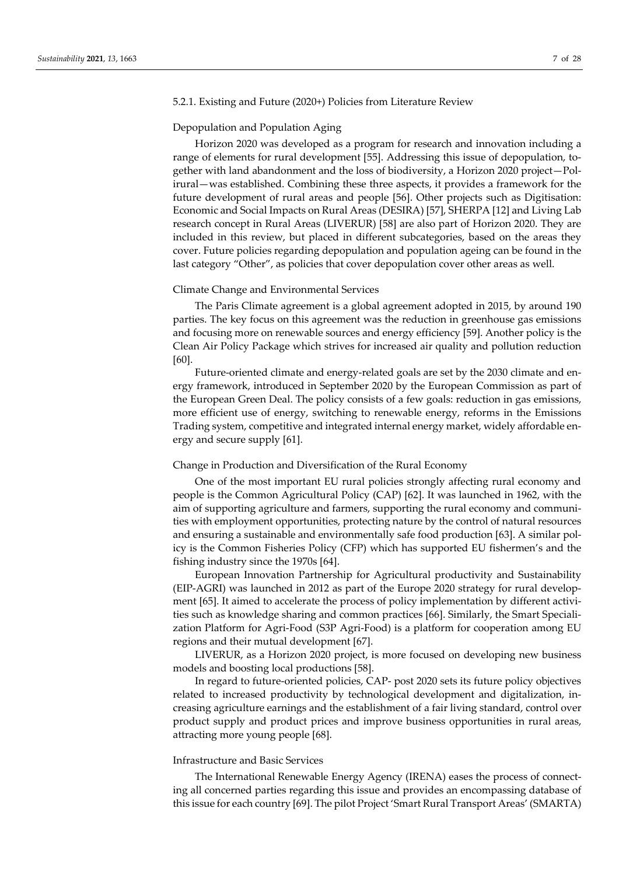## 5.2.1. Existing and Future (2020+) Policies from Literature Review

#### Depopulation and Population Aging

Horizon 2020 was developed as a program for research and innovation including a range of elements for rural development [55]. Addressing this issue of depopulation, together with land abandonment and the loss of biodiversity, a Horizon 2020 project—Polirural—was established. Combining these three aspects, it provides a framework for the future development of rural areas and people [56]. Other projects such as Digitisation: Economic and Social Impacts on Rural Areas (DESIRA) [57], SHERPA [12] and Living Lab research concept in Rural Areas (LIVERUR) [58] are also part of Horizon 2020. They are included in this review, but placed in different subcategories, based on the areas they cover. Future policies regarding depopulation and population ageing can be found in the last category "Other", as policies that cover depopulation cover other areas as well.

# Climate Change and Environmental Services

The Paris Climate agreement is a global agreement adopted in 2015, by around 190 parties. The key focus on this agreement was the reduction in greenhouse gas emissions and focusing more on renewable sources and energy efficiency [59]. Another policy is the Clean Air Policy Package which strives for increased air quality and pollution reduction [60].

Future-oriented climate and energy-related goals are set by the 2030 climate and energy framework, introduced in September 2020 by the European Commission as part of the European Green Deal. The policy consists of a few goals: reduction in gas emissions, more efficient use of energy, switching to renewable energy, reforms in the Emissions Trading system, competitive and integrated internal energy market, widely affordable energy and secure supply [61].

#### Change in Production and Diversification of the Rural Economy

One of the most important EU rural policies strongly affecting rural economy and people is the Common Agricultural Policy (CAP) [62]. It was launched in 1962, with the aim of supporting agriculture and farmers, supporting the rural economy and communities with employment opportunities, protecting nature by the control of natural resources and ensuring a sustainable and environmentally safe food production [63]. A similar policy is the Common Fisheries Policy (CFP) which has supported EU fishermen's and the fishing industry since the 1970s [64].

European Innovation Partnership for Agricultural productivity and Sustainability (EIP-AGRI) was launched in 2012 as part of the Europe 2020 strategy for rural development [65]. It aimed to accelerate the process of policy implementation by different activities such as knowledge sharing and common practices [66]. Similarly, the Smart Specialization Platform for Agri-Food (S3P Agri-Food) is a platform for cooperation among EU regions and their mutual development [67].

LIVERUR, as a Horizon 2020 project, is more focused on developing new business models and boosting local productions [58].

In regard to future-oriented policies, CAP- post 2020 sets its future policy objectives related to increased productivity by technological development and digitalization, increasing agriculture earnings and the establishment of a fair living standard, control over product supply and product prices and improve business opportunities in rural areas, attracting more young people [68].

#### Infrastructure and Basic Services

The International Renewable Energy Agency (IRENA) eases the process of connecting all concerned parties regarding this issue and provides an encompassing database of this issue for each country [69]. The pilot Project 'Smart Rural Transport Areas' (SMARTA)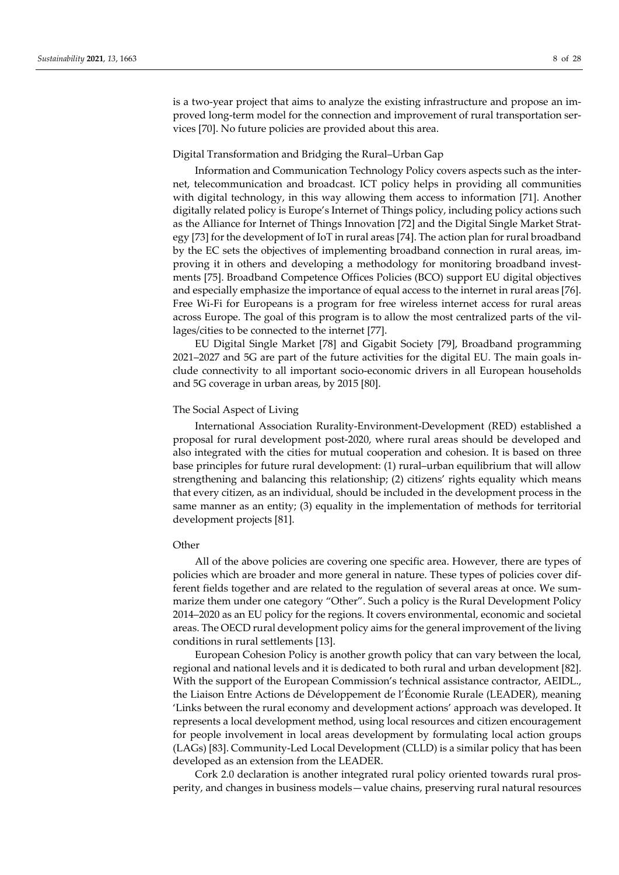is a two-year project that aims to analyze the existing infrastructure and propose an improved long-term model for the connection and improvement of rural transportation services [70]. No future policies are provided about this area.

#### Digital Transformation and Bridging the Rural–Urban Gap

Information and Communication Technology Policy covers aspects such as the internet, telecommunication and broadcast. ICT policy helps in providing all communities with digital technology, in this way allowing them access to information [71]. Another digitally related policy is Europe's Internet of Things policy, including policy actions such as the Alliance for Internet of Things Innovation [72] and the Digital Single Market Strategy [73] for the development of IoT in rural areas [74]. The action plan for rural broadband by the EC sets the objectives of implementing broadband connection in rural areas, improving it in others and developing a methodology for monitoring broadband investments [75]. Broadband Competence Offices Policies (BCO) support EU digital objectives and especially emphasize the importance of equal access to the internet in rural areas [76]. Free Wi-Fi for Europeans is a program for free wireless internet access for rural areas across Europe. The goal of this program is to allow the most centralized parts of the villages/cities to be connected to the internet [77].

EU Digital Single Market [78] and Gigabit Society [79], Broadband programming 2021–2027 and 5G are part of the future activities for the digital EU. The main goals include connectivity to all important socio-economic drivers in all European households and 5G coverage in urban areas, by 2015 [80].

## The Social Aspect of Living

International Association Rurality-Environment-Development (RED) established a proposal for rural development post-2020, where rural areas should be developed and also integrated with the cities for mutual cooperation and cohesion. It is based on three base principles for future rural development: (1) rural–urban equilibrium that will allow strengthening and balancing this relationship; (2) citizens' rights equality which means that every citizen, as an individual, should be included in the development process in the same manner as an entity; (3) equality in the implementation of methods for territorial development projects [81].

## **Other**

All of the above policies are covering one specific area. However, there are types of policies which are broader and more general in nature. These types of policies cover different fields together and are related to the regulation of several areas at once. We summarize them under one category "Other". Such a policy is the Rural Development Policy 2014–2020 as an EU policy for the regions. It covers environmental, economic and societal areas. The OECD rural development policy aims for the general improvement of the living conditions in rural settlements [13].

European Cohesion Policy is another growth policy that can vary between the local, regional and national levels and it is dedicated to both rural and urban development [82]. With the support of the European Commission's technical assistance contractor, AEIDL., the Liaison Entre Actions de Développement de l'Économie Rurale (LEADER), meaning 'Links between the rural economy and development actions' approach was developed. It represents a local development method, using local resources and citizen encouragement for people involvement in local areas development by formulating local action groups (LAGs) [83]. Community-Led Local Development (CLLD) is a similar policy that has been developed as an extension from the LEADER.

Cork 2.0 declaration is another integrated rural policy oriented towards rural prosperity, and changes in business models—value chains, preserving rural natural resources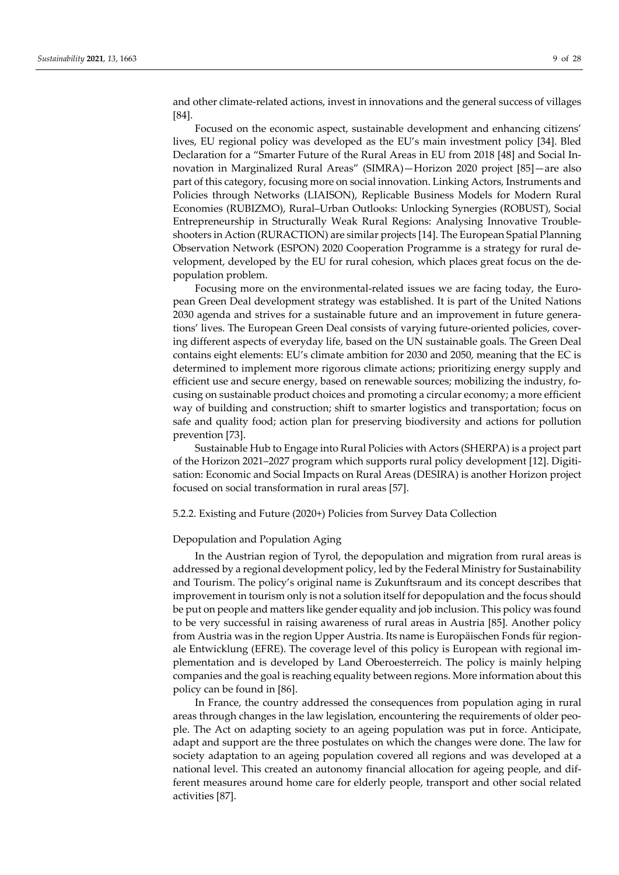[84].

Focused on the economic aspect, sustainable development and enhancing citizens' lives, EU regional policy was developed as the EU's main investment policy [34]. Bled Declaration for a "Smarter Future of the Rural Areas in EU from 2018 [48] and Social Innovation in Marginalized Rural Areas" (SIMRA)—Horizon 2020 project [85]—are also part of this category, focusing more on social innovation. Linking Actors, Instruments and Policies through Networks (LIAISON), Replicable Business Models for Modern Rural Economies (RUBIZMO), Rural–Urban Outlooks: Unlocking Synergies (ROBUST), Social Entrepreneurship in Structurally Weak Rural Regions: Analysing Innovative Troubleshooters in Action (RURACTION) are similar projects [14]. The European Spatial Planning Observation Network (ESPON) 2020 Cooperation Programme is a strategy for rural development, developed by the EU for rural cohesion, which places great focus on the depopulation problem.

Focusing more on the environmental-related issues we are facing today, the European Green Deal development strategy was established. It is part of the United Nations 2030 agenda and strives for a sustainable future and an improvement in future generations' lives. The European Green Deal consists of varying future-oriented policies, covering different aspects of everyday life, based on the UN sustainable goals. The Green Deal contains eight elements: EU's climate ambition for 2030 and 2050, meaning that the EC is determined to implement more rigorous climate actions; prioritizing energy supply and efficient use and secure energy, based on renewable sources; mobilizing the industry, focusing on sustainable product choices and promoting a circular economy; a more efficient way of building and construction; shift to smarter logistics and transportation; focus on safe and quality food; action plan for preserving biodiversity and actions for pollution prevention [73].

Sustainable Hub to Engage into Rural Policies with Actors (SHERPA) is a project part of the Horizon 2021–2027 program which supports rural policy development [12]. Digitisation: Economic and Social Impacts on Rural Areas (DESIRA) is another Horizon project focused on social transformation in rural areas [57].

5.2.2. Existing and Future (2020+) Policies from Survey Data Collection

# Depopulation and Population Aging

In the Austrian region of Tyrol, the depopulation and migration from rural areas is addressed by a regional development policy, led by the Federal Ministry for Sustainability and Tourism. The policy's original name is Zukunftsraum and its concept describes that improvement in tourism only is not a solution itself for depopulation and the focus should be put on people and matters like gender equality and job inclusion. This policy was found to be very successful in raising awareness of rural areas in Austria [85]. Another policy from Austria was in the region Upper Austria. Its name is Europäischen Fonds für regionale Entwicklung (EFRE). The coverage level of this policy is European with regional implementation and is developed by Land Oberoesterreich. The policy is mainly helping companies and the goal is reaching equality between regions. More information about this policy can be found in [86].

In France, the country addressed the consequences from population aging in rural areas through changes in the law legislation, encountering the requirements of older people. The Act on adapting society to an ageing population was put in force. Anticipate, adapt and support are the three postulates on which the changes were done. The law for society adaptation to an ageing population covered all regions and was developed at a national level. This created an autonomy financial allocation for ageing people, and different measures around home care for elderly people, transport and other social related activities [87].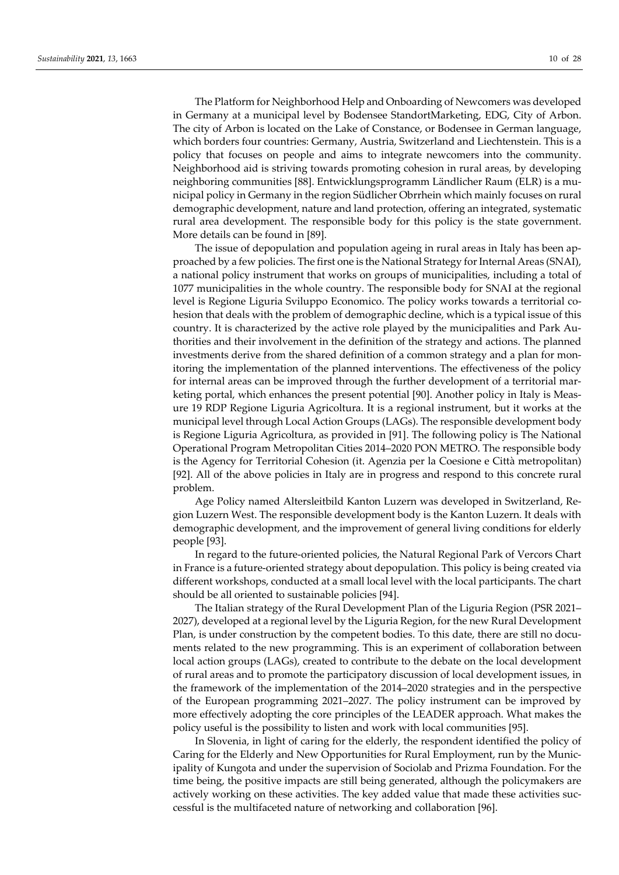The Platform for Neighborhood Help and Onboarding of Newcomers was developed in Germany at a municipal level by Bodensee StandortMarketing, EDG, City of Arbon. The city of Arbon is located on the Lake of Constance, or Bodensee in German language, which borders four countries: Germany, Austria, Switzerland and Liechtenstein. This is a policy that focuses on people and aims to integrate newcomers into the community. Neighborhood aid is striving towards promoting cohesion in rural areas, by developing neighboring communities [88]. Entwicklungsprogramm Ländlicher Raum (ELR) is a municipal policy in Germany in the region Südlicher Obrrhein which mainly focuses on rural demographic development, nature and land protection, offering an integrated, systematic rural area development. The responsible body for this policy is the state government. More details can be found in [89].

The issue of depopulation and population ageing in rural areas in Italy has been approached by a few policies. The first one is the National Strategy for Internal Areas (SNAI), a national policy instrument that works on groups of municipalities, including a total of 1077 municipalities in the whole country. The responsible body for SNAI at the regional level is Regione Liguria Sviluppo Economico. The policy works towards a territorial cohesion that deals with the problem of demographic decline, which is a typical issue of this country. It is characterized by the active role played by the municipalities and Park Authorities and their involvement in the definition of the strategy and actions. The planned investments derive from the shared definition of a common strategy and a plan for monitoring the implementation of the planned interventions. The effectiveness of the policy for internal areas can be improved through the further development of a territorial marketing portal, which enhances the present potential [90]. Another policy in Italy is Measure 19 RDP Regione Liguria Agricoltura. It is a regional instrument, but it works at the municipal level through Local Action Groups (LAGs). The responsible development body is Regione Liguria Agricoltura, as provided in [91]. The following policy is The National Operational Program Metropolitan Cities 2014–2020 PON METRO. The responsible body is the Agency for Territorial Cohesion (it. Agenzia per la Coesione e Città metropolitan) [92]. All of the above policies in Italy are in progress and respond to this concrete rural problem.

Age Policy named Altersleitbild Kanton Luzern was developed in Switzerland, Region Luzern West. The responsible development body is the Kanton Luzern. It deals with demographic development, and the improvement of general living conditions for elderly people [93].

In regard to the future-oriented policies, the Natural Regional Park of Vercors Chart in France is a future-oriented strategy about depopulation. This policy is being created via different workshops, conducted at a small local level with the local participants. The chart should be all oriented to sustainable policies [94].

The Italian strategy of the Rural Development Plan of the Liguria Region (PSR 2021– 2027), developed at a regional level by the Liguria Region, for the new Rural Development Plan, is under construction by the competent bodies. To this date, there are still no documents related to the new programming. This is an experiment of collaboration between local action groups (LAGs), created to contribute to the debate on the local development of rural areas and to promote the participatory discussion of local development issues, in the framework of the implementation of the 2014–2020 strategies and in the perspective of the European programming 2021–2027. The policy instrument can be improved by more effectively adopting the core principles of the LEADER approach. What makes the policy useful is the possibility to listen and work with local communities [95].

In Slovenia, in light of caring for the elderly, the respondent identified the policy of Caring for the Elderly and New Opportunities for Rural Employment, run by the Municipality of Kungota and under the supervision of Sociolab and Prizma Foundation. For the time being, the positive impacts are still being generated, although the policymakers are actively working on these activities. The key added value that made these activities successful is the multifaceted nature of networking and collaboration [96].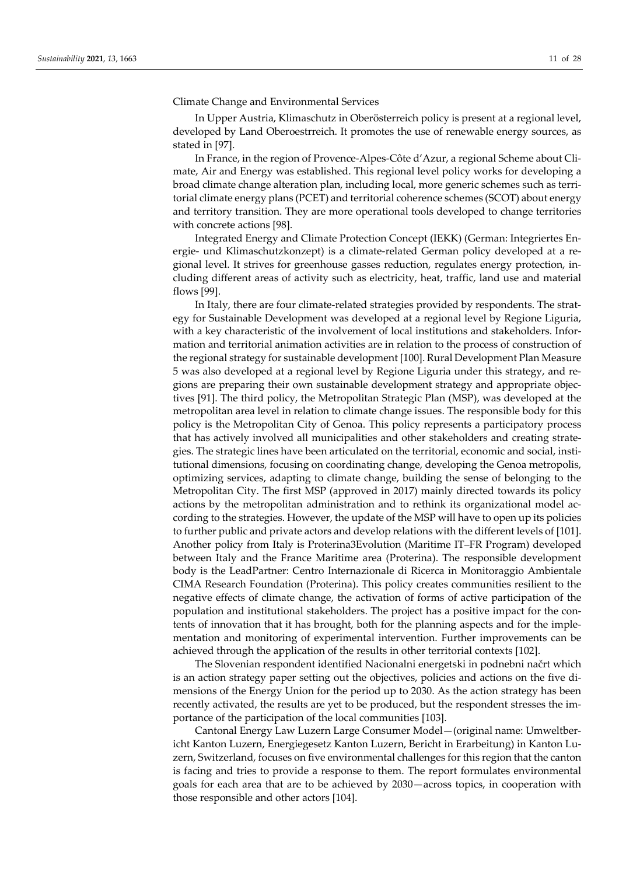## Climate Change and Environmental Services

In Upper Austria, Klimaschutz in Oberösterreich policy is present at a regional level, developed by Land Oberoestrreich. It promotes the use of renewable energy sources, as stated in [97].

In France, in the region of Provence-Alpes-Côte d'Azur, a regional Scheme about Climate, Air and Energy was established. This regional level policy works for developing a broad climate change alteration plan, including local, more generic schemes such as territorial climate energy plans (PCET) and territorial coherence schemes (SCOT) about energy and territory transition. They are more operational tools developed to change territories with concrete actions [98].

Integrated Energy and Climate Protection Concept (IEKK) (German: Integriertes Energie- und Klimaschutzkonzept) is a climate-related German policy developed at a regional level. It strives for greenhouse gasses reduction, regulates energy protection, including different areas of activity such as electricity, heat, traffic, land use and material flows [99].

In Italy, there are four climate-related strategies provided by respondents. The strategy for Sustainable Development was developed at a regional level by Regione Liguria, with a key characteristic of the involvement of local institutions and stakeholders. Information and territorial animation activities are in relation to the process of construction of the regional strategy for sustainable development [100]. Rural Development Plan Measure 5 was also developed at a regional level by Regione Liguria under this strategy, and regions are preparing their own sustainable development strategy and appropriate objectives [91]. The third policy, the Metropolitan Strategic Plan (MSP), was developed at the metropolitan area level in relation to climate change issues. The responsible body for this policy is the Metropolitan City of Genoa. This policy represents a participatory process that has actively involved all municipalities and other stakeholders and creating strategies. The strategic lines have been articulated on the territorial, economic and social, institutional dimensions, focusing on coordinating change, developing the Genoa metropolis, optimizing services, adapting to climate change, building the sense of belonging to the Metropolitan City. The first MSP (approved in 2017) mainly directed towards its policy actions by the metropolitan administration and to rethink its organizational model according to the strategies. However, the update of the MSP will have to open up its policies to further public and private actors and develop relations with the different levels of [101]. Another policy from Italy is Proterina3Evolution (Maritime IT–FR Program) developed between Italy and the France Maritime area (Proterina). The responsible development body is the LeadPartner: Centro Internazionale di Ricerca in Monitoraggio Ambientale CIMA Research Foundation (Proterina). This policy creates communities resilient to the negative effects of climate change, the activation of forms of active participation of the population and institutional stakeholders. The project has a positive impact for the contents of innovation that it has brought, both for the planning aspects and for the implementation and monitoring of experimental intervention. Further improvements can be achieved through the application of the results in other territorial contexts [102].

The Slovenian respondent identified Nacionalni energetski in podnebni načrt which is an action strategy paper setting out the objectives, policies and actions on the five dimensions of the Energy Union for the period up to 2030. As the action strategy has been recently activated, the results are yet to be produced, but the respondent stresses the importance of the participation of the local communities [103].

Cantonal Energy Law Luzern Large Consumer Model—(original name: Umweltbericht Kanton Luzern, Energiegesetz Kanton Luzern, Bericht in Erarbeitung) in Kanton Luzern, Switzerland, focuses on five environmental challenges for this region that the canton is facing and tries to provide a response to them. The report formulates environmental goals for each area that are to be achieved by 2030—across topics, in cooperation with those responsible and other actors [104].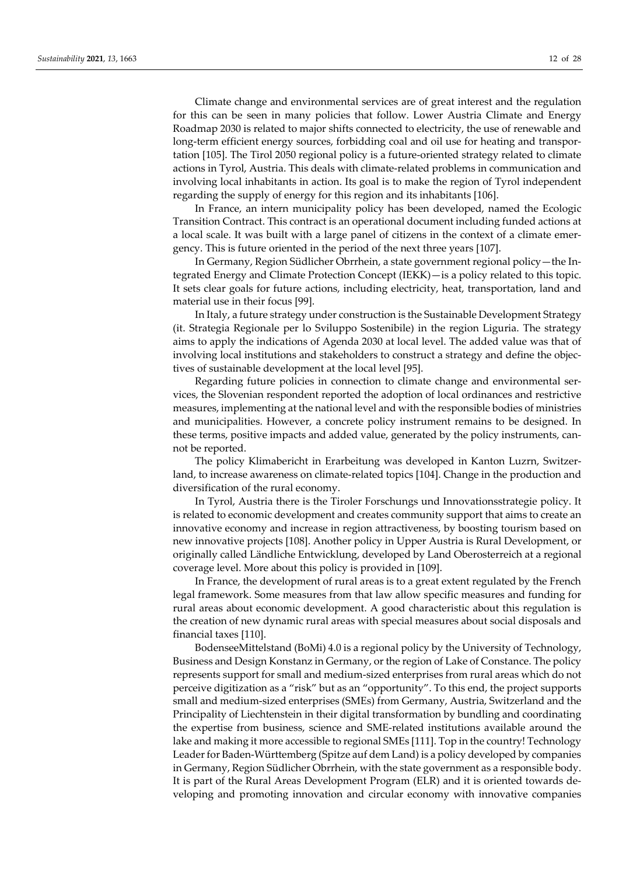Climate change and environmental services are of great interest and the regulation for this can be seen in many policies that follow. Lower Austria Climate and Energy Roadmap 2030 is related to major shifts connected to electricity, the use of renewable and long-term efficient energy sources, forbidding coal and oil use for heating and transportation [105]. The Tirol 2050 regional policy is a future-oriented strategy related to climate actions in Tyrol, Austria. This deals with climate-related problems in communication and involving local inhabitants in action. Its goal is to make the region of Tyrol independent regarding the supply of energy for this region and its inhabitants [106].

In France, an intern municipality policy has been developed, named the Ecologic Transition Contract. This contract is an operational document including funded actions at a local scale. It was built with a large panel of citizens in the context of a climate emergency. This is future oriented in the period of the next three years [107].

In Germany, Region Südlicher Obrrhein, a state government regional policy—the Integrated Energy and Climate Protection Concept (IEKK)—is a policy related to this topic. It sets clear goals for future actions, including electricity, heat, transportation, land and material use in their focus [99].

In Italy, a future strategy under construction is the Sustainable Development Strategy (it. Strategia Regionale per lo Sviluppo Sostenibile) in the region Liguria. The strategy aims to apply the indications of Agenda 2030 at local level. The added value was that of involving local institutions and stakeholders to construct a strategy and define the objectives of sustainable development at the local level [95].

Regarding future policies in connection to climate change and environmental services, the Slovenian respondent reported the adoption of local ordinances and restrictive measures, implementing at the national level and with the responsible bodies of ministries and municipalities. However, a concrete policy instrument remains to be designed. In these terms, positive impacts and added value, generated by the policy instruments, cannot be reported.

The policy Klimabericht in Erarbeitung was developed in Kanton Luzrn, Switzerland, to increase awareness on climate-related topics [104]. Change in the production and diversification of the rural economy.

In Tyrol, Austria there is the Tiroler Forschungs und Innovationsstrategie policy. It is related to economic development and creates community support that aims to create an innovative economy and increase in region attractiveness, by boosting tourism based on new innovative projects [108]. Another policy in Upper Austria is Rural Development, or originally called Ländliche Entwicklung, developed by Land Oberosterreich at a regional coverage level. More about this policy is provided in [109].

In France, the development of rural areas is to a great extent regulated by the French legal framework. Some measures from that law allow specific measures and funding for rural areas about economic development. A good characteristic about this regulation is the creation of new dynamic rural areas with special measures about social disposals and financial taxes [110].

BodenseeMittelstand (BoMi) 4.0 is a regional policy by the University of Technology, Business and Design Konstanz in Germany, or the region of Lake of Constance. The policy represents support for small and medium-sized enterprises from rural areas which do not perceive digitization as a "risk" but as an "opportunity". To this end, the project supports small and medium-sized enterprises (SMEs) from Germany, Austria, Switzerland and the Principality of Liechtenstein in their digital transformation by bundling and coordinating the expertise from business, science and SME-related institutions available around the lake and making it more accessible to regional SMEs [111]. Top in the country! Technology Leader for Baden-Württemberg (Spitze auf dem Land) is a policy developed by companies in Germany, Region Südlicher Obrrhein, with the state government as a responsible body. It is part of the Rural Areas Development Program (ELR) and it is oriented towards developing and promoting innovation and circular economy with innovative companies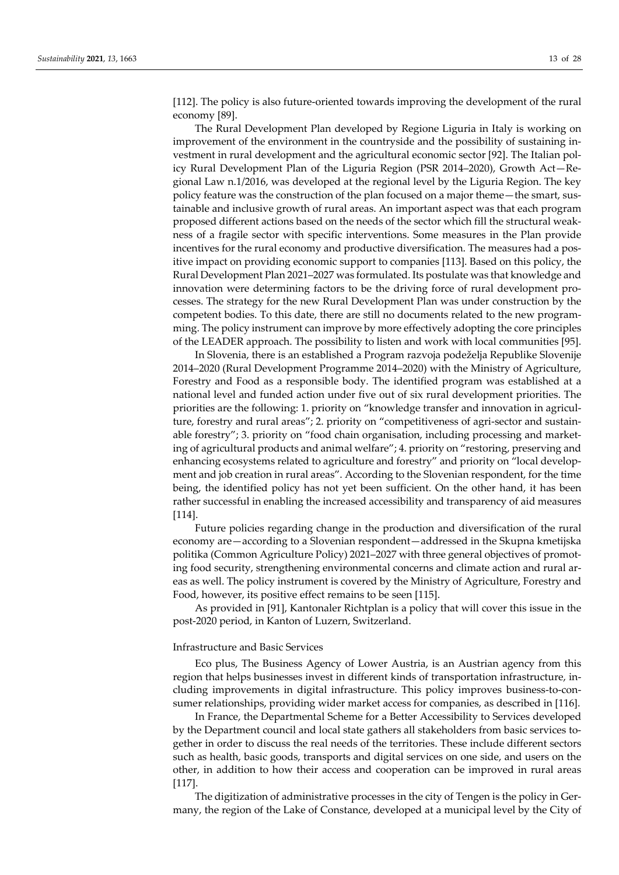[112]. The policy is also future-oriented towards improving the development of the rural economy [89].

The Rural Development Plan developed by Regione Liguria in Italy is working on improvement of the environment in the countryside and the possibility of sustaining investment in rural development and the agricultural economic sector [92]. The Italian policy Rural Development Plan of the Liguria Region (PSR 2014–2020), Growth Act—Regional Law n.1/2016, was developed at the regional level by the Liguria Region. The key policy feature was the construction of the plan focused on a major theme—the smart, sustainable and inclusive growth of rural areas. An important aspect was that each program proposed different actions based on the needs of the sector which fill the structural weakness of a fragile sector with specific interventions. Some measures in the Plan provide incentives for the rural economy and productive diversification. The measures had a positive impact on providing economic support to companies [113]. Based on this policy, the Rural Development Plan 2021–2027 was formulated. Its postulate was that knowledge and innovation were determining factors to be the driving force of rural development processes. The strategy for the new Rural Development Plan was under construction by the competent bodies. To this date, there are still no documents related to the new programming. The policy instrument can improve by more effectively adopting the core principles of the LEADER approach. The possibility to listen and work with local communities [95].

In Slovenia, there is an established a Program razvoja podeželja Republike Slovenije 2014–2020 (Rural Development Programme 2014–2020) with the Ministry of Agriculture, Forestry and Food as a responsible body. The identified program was established at a national level and funded action under five out of six rural development priorities. The priorities are the following: 1. priority on "knowledge transfer and innovation in agriculture, forestry and rural areas"; 2. priority on "competitiveness of agri-sector and sustainable forestry"; 3. priority on "food chain organisation, including processing and marketing of agricultural products and animal welfare"; 4. priority on "restoring, preserving and enhancing ecosystems related to agriculture and forestry" and priority on "local development and job creation in rural areas". According to the Slovenian respondent, for the time being, the identified policy has not yet been sufficient. On the other hand, it has been rather successful in enabling the increased accessibility and transparency of aid measures [114].

Future policies regarding change in the production and diversification of the rural economy are—according to a Slovenian respondent—addressed in the Skupna kmetijska politika (Common Agriculture Policy) 2021–2027 with three general objectives of promoting food security, strengthening environmental concerns and climate action and rural areas as well. The policy instrument is covered by the Ministry of Agriculture, Forestry and Food, however, its positive effect remains to be seen [115].

As provided in [91], Kantonaler Richtplan is a policy that will cover this issue in the post-2020 period, in Kanton of Luzern, Switzerland.

## Infrastructure and Basic Services

Eco plus, The Business Agency of Lower Austria, is an Austrian agency from this region that helps businesses invest in different kinds of transportation infrastructure, including improvements in digital infrastructure. This policy improves business-to-consumer relationships, providing wider market access for companies, as described in [116].

In France, the Departmental Scheme for a Better Accessibility to Services developed by the Department council and local state gathers all stakeholders from basic services together in order to discuss the real needs of the territories. These include different sectors such as health, basic goods, transports and digital services on one side, and users on the other, in addition to how their access and cooperation can be improved in rural areas [117].

The digitization of administrative processes in the city of Tengen is the policy in Germany, the region of the Lake of Constance, developed at a municipal level by the City of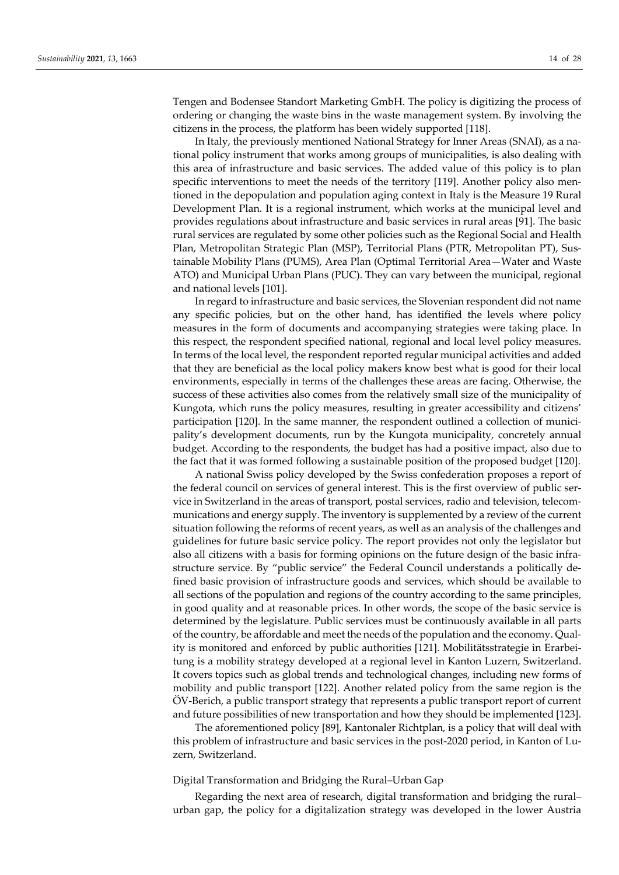Tengen and Bodensee Standort Marketing GmbH. The policy is digitizing the process of ordering or changing the waste bins in the waste management system. By involving the citizens in the process, the platform has been widely supported [118].

In Italy, the previously mentioned National Strategy for Inner Areas (SNAI), as a national policy instrument that works among groups of municipalities, is also dealing with this area of infrastructure and basic services. The added value of this policy is to plan specific interventions to meet the needs of the territory [119]. Another policy also mentioned in the depopulation and population aging context in Italy is the Measure 19 Rural Development Plan. It is a regional instrument, which works at the municipal level and provides regulations about infrastructure and basic services in rural areas [91]. The basic rural services are regulated by some other policies such as the Regional Social and Health Plan, Metropolitan Strategic Plan (MSP), Territorial Plans (PTR, Metropolitan PT), Sustainable Mobility Plans (PUMS), Area Plan (Optimal Territorial Area—Water and Waste ATO) and Municipal Urban Plans (PUC). They can vary between the municipal, regional and national levels [101].

In regard to infrastructure and basic services, the Slovenian respondent did not name any specific policies, but on the other hand, has identified the levels where policy measures in the form of documents and accompanying strategies were taking place. In this respect, the respondent specified national, regional and local level policy measures. In terms of the local level, the respondent reported regular municipal activities and added that they are beneficial as the local policy makers know best what is good for their local environments, especially in terms of the challenges these areas are facing. Otherwise, the success of these activities also comes from the relatively small size of the municipality of Kungota, which runs the policy measures, resulting in greater accessibility and citizens' participation [120]. In the same manner, the respondent outlined a collection of municipality's development documents, run by the Kungota municipality, concretely annual budget. According to the respondents, the budget has had a positive impact, also due to the fact that it was formed following a sustainable position of the proposed budget [120].

A national Swiss policy developed by the Swiss confederation proposes a report of the federal council on services of general interest. This is the first overview of public service in Switzerland in the areas of transport, postal services, radio and television, telecommunications and energy supply. The inventory is supplemented by a review of the current situation following the reforms of recent years, as well as an analysis of the challenges and guidelines for future basic service policy. The report provides not only the legislator but also all citizens with a basis for forming opinions on the future design of the basic infrastructure service. By "public service" the Federal Council understands a politically defined basic provision of infrastructure goods and services, which should be available to all sections of the population and regions of the country according to the same principles, in good quality and at reasonable prices. In other words, the scope of the basic service is determined by the legislature. Public services must be continuously available in all parts of the country, be affordable and meet the needs of the population and the economy. Quality is monitored and enforced by public authorities [121]. Mobilitätsstrategie in Erarbeitung is a mobility strategy developed at a regional level in Kanton Luzern, Switzerland. It covers topics such as global trends and technological changes, including new forms of mobility and public transport [122]. Another related policy from the same region is the ÖV-Berich, a public transport strategy that represents a public transport report of current and future possibilities of new transportation and how they should be implemented [123].

The aforementioned policy [89], Kantonaler Richtplan, is a policy that will deal with this problem of infrastructure and basic services in the post-2020 period, in Kanton of Luzern, Switzerland.

# Digital Transformation and Bridging the Rural–Urban Gap

Regarding the next area of research, digital transformation and bridging the rural– urban gap, the policy for a digitalization strategy was developed in the lower Austria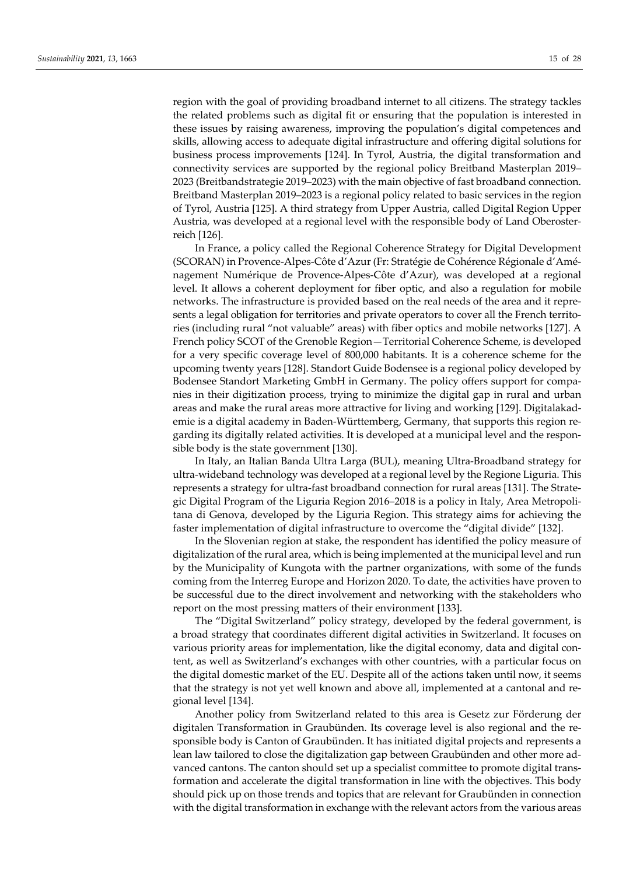region with the goal of providing broadband internet to all citizens. The strategy tackles the related problems such as digital fit or ensuring that the population is interested in these issues by raising awareness, improving the population's digital competences and skills, allowing access to adequate digital infrastructure and offering digital solutions for business process improvements [124]. In Tyrol, Austria, the digital transformation and connectivity services are supported by the regional policy Breitband Masterplan 2019– 2023 (Breitbandstrategie 2019–2023) with the main objective of fast broadband connection. Breitband Masterplan 2019–2023 is a regional policy related to basic services in the region of Tyrol, Austria [125]. A third strategy from Upper Austria, called Digital Region Upper Austria, was developed at a regional level with the responsible body of Land Oberosterreich [126].

In France, a policy called the Regional Coherence Strategy for Digital Development (SCORAN) in Provence-Alpes-Côte d'Azur (Fr: Stratégie de Cohérence Régionale d'Aménagement Numérique de Provence-Alpes-Côte d'Azur), was developed at a regional level. It allows a coherent deployment for fiber optic, and also a regulation for mobile networks. The infrastructure is provided based on the real needs of the area and it represents a legal obligation for territories and private operators to cover all the French territories (including rural "not valuable" areas) with fiber optics and mobile networks [127]. A French policy SCOT of the Grenoble Region—Territorial Coherence Scheme, is developed for a very specific coverage level of 800,000 habitants. It is a coherence scheme for the upcoming twenty years [128]. Standort Guide Bodensee is a regional policy developed by Bodensee Standort Marketing GmbH in Germany. The policy offers support for companies in their digitization process, trying to minimize the digital gap in rural and urban areas and make the rural areas more attractive for living and working [129]. Digitalakademie is a digital academy in Baden-Württemberg, Germany, that supports this region regarding its digitally related activities. It is developed at a municipal level and the responsible body is the state government [130].

In Italy, an Italian Banda Ultra Larga (BUL), meaning Ultra-Broadband strategy for ultra-wideband technology was developed at a regional level by the Regione Liguria. This represents a strategy for ultra-fast broadband connection for rural areas [131]. The Strategic Digital Program of the Liguria Region 2016–2018 is a policy in Italy, Area Metropolitana di Genova, developed by the Liguria Region. This strategy aims for achieving the faster implementation of digital infrastructure to overcome the "digital divide" [132].

In the Slovenian region at stake, the respondent has identified the policy measure of digitalization of the rural area, which is being implemented at the municipal level and run by the Municipality of Kungota with the partner organizations, with some of the funds coming from the Interreg Europe and Horizon 2020. To date, the activities have proven to be successful due to the direct involvement and networking with the stakeholders who report on the most pressing matters of their environment [133].

The "Digital Switzerland" policy strategy, developed by the federal government, is a broad strategy that coordinates different digital activities in Switzerland. It focuses on various priority areas for implementation, like the digital economy, data and digital content, as well as Switzerland's exchanges with other countries, with a particular focus on the digital domestic market of the EU. Despite all of the actions taken until now, it seems that the strategy is not yet well known and above all, implemented at a cantonal and regional level [134].

Another policy from Switzerland related to this area is Gesetz zur Förderung der digitalen Transformation in Graubünden. Its coverage level is also regional and the responsible body is Canton of Graubünden. It has initiated digital projects and represents a lean law tailored to close the digitalization gap between Graubünden and other more advanced cantons. The canton should set up a specialist committee to promote digital transformation and accelerate the digital transformation in line with the objectives. This body should pick up on those trends and topics that are relevant for Graubünden in connection with the digital transformation in exchange with the relevant actors from the various areas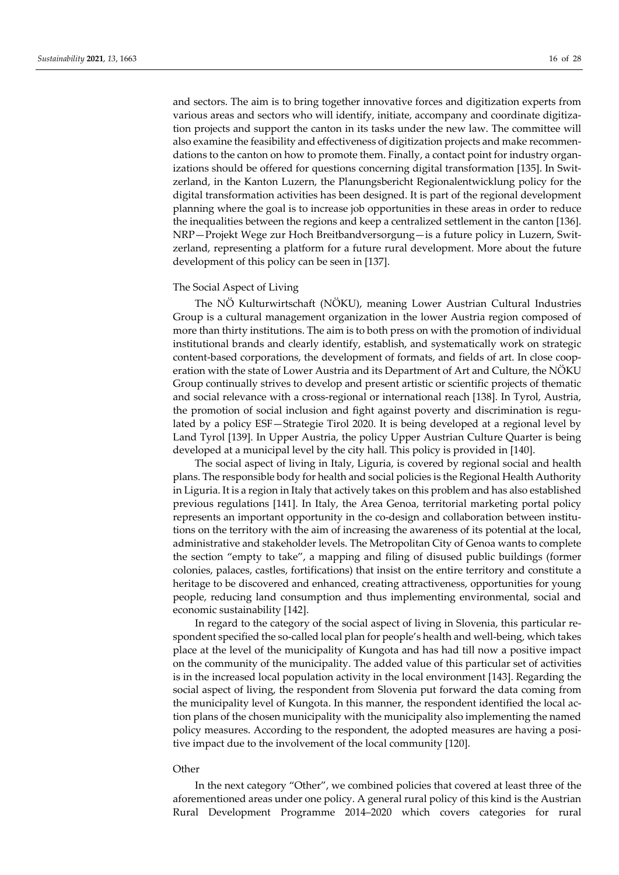and sectors. The aim is to bring together innovative forces and digitization experts from various areas and sectors who will identify, initiate, accompany and coordinate digitization projects and support the canton in its tasks under the new law. The committee will also examine the feasibility and effectiveness of digitization projects and make recommendations to the canton on how to promote them. Finally, a contact point for industry organizations should be offered for questions concerning digital transformation [135]. In Switzerland, in the Kanton Luzern, the Planungsbericht Regionalentwicklung policy for the digital transformation activities has been designed. It is part of the regional development planning where the goal is to increase job opportunities in these areas in order to reduce the inequalities between the regions and keep a centralized settlement in the canton [136]. NRP—Projekt Wege zur Hoch Breitbandversorgung—is a future policy in Luzern, Switzerland, representing a platform for a future rural development. More about the future development of this policy can be seen in [137].

#### The Social Aspect of Living

The NÖ Kulturwirtschaft (NÖKU), meaning Lower Austrian Cultural Industries Group is a cultural management organization in the lower Austria region composed of more than thirty institutions. The aim is to both press on with the promotion of individual institutional brands and clearly identify, establish, and systematically work on strategic content-based corporations, the development of formats, and fields of art. In close cooperation with the state of Lower Austria and its Department of Art and Culture, the NÖKU Group continually strives to develop and present artistic or scientific projects of thematic and social relevance with a cross-regional or international reach [138]. In Tyrol, Austria, the promotion of social inclusion and fight against poverty and discrimination is regulated by a policy ESF—Strategie Tirol 2020. It is being developed at a regional level by Land Tyrol [139]. In Upper Austria, the policy Upper Austrian Culture Quarter is being developed at a municipal level by the city hall. This policy is provided in [140].

The social aspect of living in Italy, Liguria, is covered by regional social and health plans. The responsible body for health and social policies is the Regional Health Authority in Liguria. It is a region in Italy that actively takes on this problem and has also established previous regulations [141]. In Italy, the Area Genoa, territorial marketing portal policy represents an important opportunity in the co-design and collaboration between institutions on the territory with the aim of increasing the awareness of its potential at the local, administrative and stakeholder levels. The Metropolitan City of Genoa wants to complete the section "empty to take", a mapping and filing of disused public buildings (former colonies, palaces, castles, fortifications) that insist on the entire territory and constitute a heritage to be discovered and enhanced, creating attractiveness, opportunities for young people, reducing land consumption and thus implementing environmental, social and economic sustainability [142].

In regard to the category of the social aspect of living in Slovenia, this particular respondent specified the so-called local plan for people's health and well-being, which takes place at the level of the municipality of Kungota and has had till now a positive impact on the community of the municipality. The added value of this particular set of activities is in the increased local population activity in the local environment [143]. Regarding the social aspect of living, the respondent from Slovenia put forward the data coming from the municipality level of Kungota. In this manner, the respondent identified the local action plans of the chosen municipality with the municipality also implementing the named policy measures. According to the respondent, the adopted measures are having a positive impact due to the involvement of the local community [120].

#### **Other**

In the next category "Other", we combined policies that covered at least three of the aforementioned areas under one policy. A general rural policy of this kind is the Austrian Rural Development Programme 2014–2020 which covers categories for rural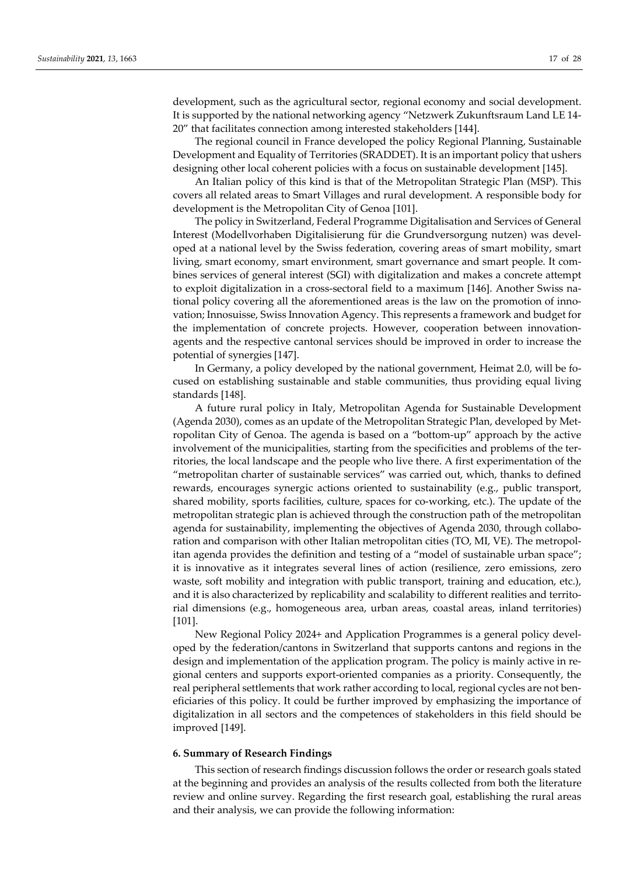development, such as the agricultural sector, regional economy and social development. It is supported by the national networking agency "Netzwerk Zukunftsraum Land LE 14- 20" that facilitates connection among interested stakeholders [144].

The regional council in France developed the policy Regional Planning, Sustainable Development and Equality of Territories (SRADDET). It is an important policy that ushers designing other local coherent policies with a focus on sustainable development [145].

An Italian policy of this kind is that of the Metropolitan Strategic Plan (MSP). This covers all related areas to Smart Villages and rural development. A responsible body for development is the Metropolitan City of Genoa [101].

The policy in Switzerland, Federal Programme Digitalisation and Services of General Interest (Modellvorhaben Digitalisierung für die Grundversorgung nutzen) was developed at a national level by the Swiss federation, covering areas of smart mobility, smart living, smart economy, smart environment, smart governance and smart people. It combines services of general interest (SGI) with digitalization and makes a concrete attempt to exploit digitalization in a cross-sectoral field to a maximum [146]. Another Swiss national policy covering all the aforementioned areas is the law on the promotion of innovation; Innosuisse, Swiss Innovation Agency. This represents a framework and budget for the implementation of concrete projects. However, cooperation between innovationagents and the respective cantonal services should be improved in order to increase the potential of synergies [147].

In Germany, a policy developed by the national government, Heimat 2.0, will be focused on establishing sustainable and stable communities, thus providing equal living standards [148].

A future rural policy in Italy, Metropolitan Agenda for Sustainable Development (Agenda 2030), comes as an update of the Metropolitan Strategic Plan, developed by Metropolitan City of Genoa. The agenda is based on a "bottom-up" approach by the active involvement of the municipalities, starting from the specificities and problems of the territories, the local landscape and the people who live there. A first experimentation of the "metropolitan charter of sustainable services" was carried out, which, thanks to defined rewards, encourages synergic actions oriented to sustainability (e.g., public transport, shared mobility, sports facilities, culture, spaces for co-working, etc.). The update of the metropolitan strategic plan is achieved through the construction path of the metropolitan agenda for sustainability, implementing the objectives of Agenda 2030, through collaboration and comparison with other Italian metropolitan cities (TO, MI, VE). The metropolitan agenda provides the definition and testing of a "model of sustainable urban space"; it is innovative as it integrates several lines of action (resilience, zero emissions, zero waste, soft mobility and integration with public transport, training and education, etc.), and it is also characterized by replicability and scalability to different realities and territorial dimensions (e.g., homogeneous area, urban areas, coastal areas, inland territories) [101].

New Regional Policy 2024+ and Application Programmes is a general policy developed by the federation/cantons in Switzerland that supports cantons and regions in the design and implementation of the application program. The policy is mainly active in regional centers and supports export-oriented companies as a priority. Consequently, the real peripheral settlements that work rather according to local, regional cycles are not beneficiaries of this policy. It could be further improved by emphasizing the importance of digitalization in all sectors and the competences of stakeholders in this field should be improved [149].

# **6. Summary of Research Findings**

This section of research findings discussion follows the order or research goals stated at the beginning and provides an analysis of the results collected from both the literature review and online survey. Regarding the first research goal, establishing the rural areas and their analysis, we can provide the following information: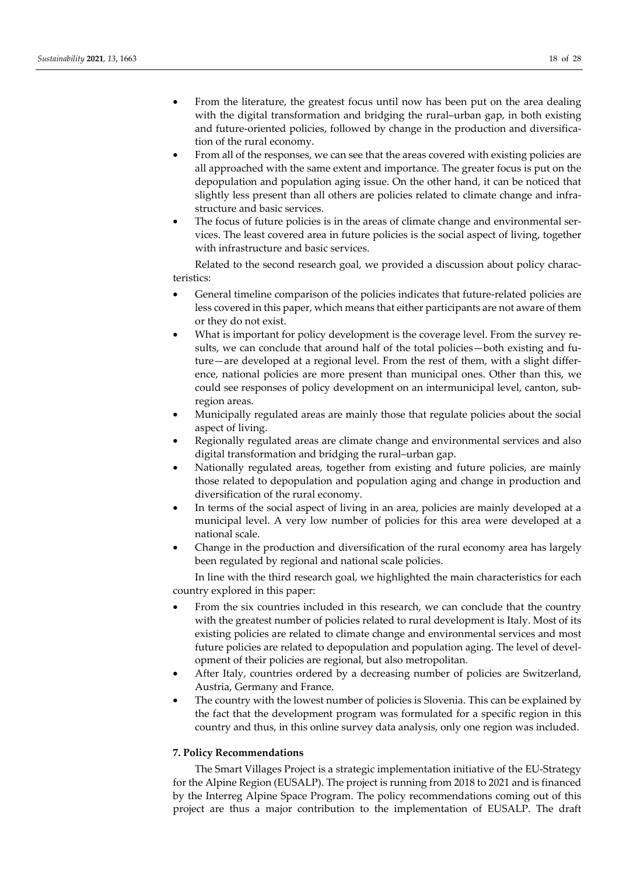- From the literature, the greatest focus until now has been put on the area dealing with the digital transformation and bridging the rural–urban gap, in both existing and future-oriented policies, followed by change in the production and diversification of the rural economy.
- From all of the responses, we can see that the areas covered with existing policies are all approached with the same extent and importance. The greater focus is put on the depopulation and population aging issue. On the other hand, it can be noticed that slightly less present than all others are policies related to climate change and infrastructure and basic services.
- The focus of future policies is in the areas of climate change and environmental services. The least covered area in future policies is the social aspect of living, together with infrastructure and basic services.

Related to the second research goal, we provided a discussion about policy characteristics:

- General timeline comparison of the policies indicates that future-related policies are less covered in this paper, which means that either participants are not aware of them or they do not exist.
- What is important for policy development is the coverage level. From the survey results, we can conclude that around half of the total policies—both existing and future—are developed at a regional level. From the rest of them, with a slight difference, national policies are more present than municipal ones. Other than this, we could see responses of policy development on an intermunicipal level, canton, subregion areas.
- Municipally regulated areas are mainly those that regulate policies about the social aspect of living.
- Regionally regulated areas are climate change and environmental services and also digital transformation and bridging the rural–urban gap.
- Nationally regulated areas, together from existing and future policies, are mainly those related to depopulation and population aging and change in production and diversification of the rural economy.
- In terms of the social aspect of living in an area, policies are mainly developed at a municipal level. A very low number of policies for this area were developed at a national scale.
- Change in the production and diversification of the rural economy area has largely been regulated by regional and national scale policies.

In line with the third research goal, we highlighted the main characteristics for each country explored in this paper:

- From the six countries included in this research, we can conclude that the country with the greatest number of policies related to rural development is Italy. Most of its existing policies are related to climate change and environmental services and most future policies are related to depopulation and population aging. The level of development of their policies are regional, but also metropolitan.
- After Italy, countries ordered by a decreasing number of policies are Switzerland, Austria, Germany and France.
- The country with the lowest number of policies is Slovenia. This can be explained by the fact that the development program was formulated for a specific region in this country and thus, in this online survey data analysis, only one region was included.

# **7. Policy Recommendations**

The Smart Villages Project is a strategic implementation initiative of the EU-Strategy for the Alpine Region (EUSALP). The project is running from 2018 to 2021 and is financed by the Interreg Alpine Space Program. The policy recommendations coming out of this project are thus a major contribution to the implementation of EUSALP. The draft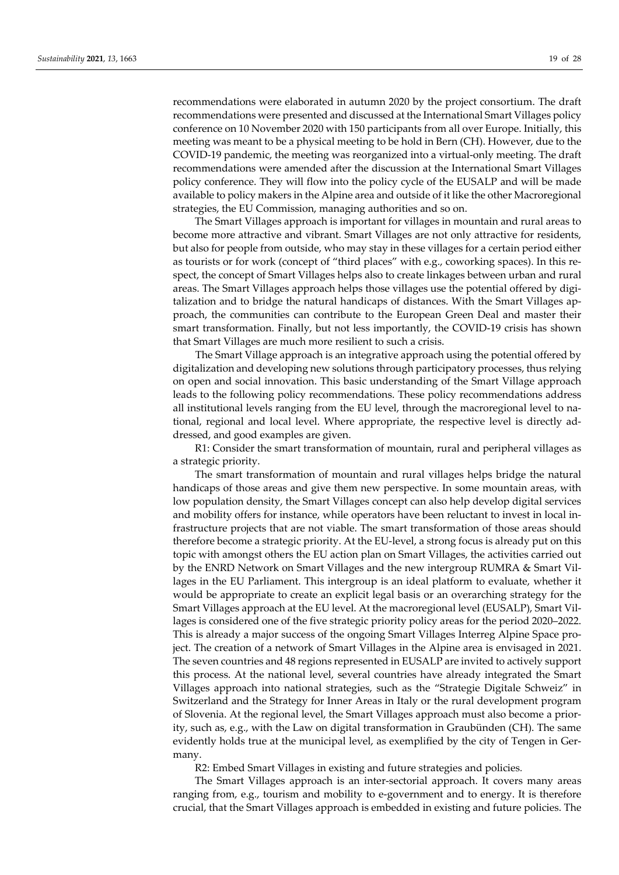recommendations were elaborated in autumn 2020 by the project consortium. The draft recommendations were presented and discussed at the International Smart Villages policy conference on 10 November 2020 with 150 participants from all over Europe. Initially, this meeting was meant to be a physical meeting to be hold in Bern (CH). However, due to the COVID-19 pandemic, the meeting was reorganized into a virtual-only meeting. The draft recommendations were amended after the discussion at the International Smart Villages policy conference. They will flow into the policy cycle of the EUSALP and will be made available to policy makers in the Alpine area and outside of it like the other Macroregional strategies, the EU Commission, managing authorities and so on.

The Smart Villages approach is important for villages in mountain and rural areas to become more attractive and vibrant. Smart Villages are not only attractive for residents, but also for people from outside, who may stay in these villages for a certain period either as tourists or for work (concept of "third places" with e.g., coworking spaces). In this respect, the concept of Smart Villages helps also to create linkages between urban and rural areas. The Smart Villages approach helps those villages use the potential offered by digitalization and to bridge the natural handicaps of distances. With the Smart Villages approach, the communities can contribute to the European Green Deal and master their smart transformation. Finally, but not less importantly, the COVID-19 crisis has shown that Smart Villages are much more resilient to such a crisis.

The Smart Village approach is an integrative approach using the potential offered by digitalization and developing new solutions through participatory processes, thus relying on open and social innovation. This basic understanding of the Smart Village approach leads to the following policy recommendations. These policy recommendations address all institutional levels ranging from the EU level, through the macroregional level to national, regional and local level. Where appropriate, the respective level is directly addressed, and good examples are given.

R1: Consider the smart transformation of mountain, rural and peripheral villages as a strategic priority.

The smart transformation of mountain and rural villages helps bridge the natural handicaps of those areas and give them new perspective. In some mountain areas, with low population density, the Smart Villages concept can also help develop digital services and mobility offers for instance, while operators have been reluctant to invest in local infrastructure projects that are not viable. The smart transformation of those areas should therefore become a strategic priority. At the EU-level, a strong focus is already put on this topic with amongst others the EU action plan on Smart Villages, the activities carried out by the ENRD Network on Smart Villages and the new intergroup RUMRA & Smart Villages in the EU Parliament. This intergroup is an ideal platform to evaluate, whether it would be appropriate to create an explicit legal basis or an overarching strategy for the Smart Villages approach at the EU level. At the macroregional level (EUSALP), Smart Villages is considered one of the five strategic priority policy areas for the period 2020–2022. This is already a major success of the ongoing Smart Villages Interreg Alpine Space project. The creation of a network of Smart Villages in the Alpine area is envisaged in 2021. The seven countries and 48 regions represented in EUSALP are invited to actively support this process. At the national level, several countries have already integrated the Smart Villages approach into national strategies, such as the "Strategie Digitale Schweiz" in Switzerland and the Strategy for Inner Areas in Italy or the rural development program of Slovenia. At the regional level, the Smart Villages approach must also become a priority, such as, e.g., with the Law on digital transformation in Graubünden (CH). The same evidently holds true at the municipal level, as exemplified by the city of Tengen in Germany.

R2: Embed Smart Villages in existing and future strategies and policies*.* 

The Smart Villages approach is an inter-sectorial approach. It covers many areas ranging from, e.g., tourism and mobility to e-government and to energy. It is therefore crucial, that the Smart Villages approach is embedded in existing and future policies. The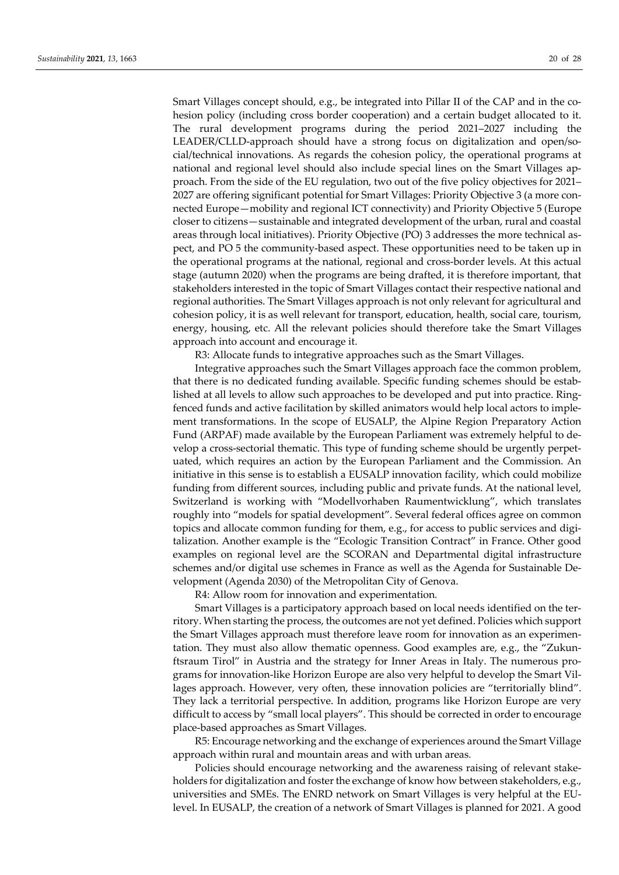Smart Villages concept should, e.g., be integrated into Pillar II of the CAP and in the cohesion policy (including cross border cooperation) and a certain budget allocated to it. The rural development programs during the period 2021–2027 including the LEADER/CLLD-approach should have a strong focus on digitalization and open/social/technical innovations. As regards the cohesion policy, the operational programs at national and regional level should also include special lines on the Smart Villages approach. From the side of the EU regulation, two out of the five policy objectives for 2021– 2027 are offering significant potential for Smart Villages: Priority Objective 3 (a more connected Europe—mobility and regional ICT connectivity) and Priority Objective 5 (Europe closer to citizens—sustainable and integrated development of the urban, rural and coastal areas through local initiatives). Priority Objective (PO) 3 addresses the more technical aspect, and PO 5 the community-based aspect. These opportunities need to be taken up in the operational programs at the national, regional and cross-border levels. At this actual stage (autumn 2020) when the programs are being drafted, it is therefore important, that stakeholders interested in the topic of Smart Villages contact their respective national and regional authorities. The Smart Villages approach is not only relevant for agricultural and cohesion policy, it is as well relevant for transport, education, health, social care, tourism, energy, housing, etc. All the relevant policies should therefore take the Smart Villages approach into account and encourage it.

R3: Allocate funds to integrative approaches such as the Smart Villages.

Integrative approaches such the Smart Villages approach face the common problem, that there is no dedicated funding available. Specific funding schemes should be established at all levels to allow such approaches to be developed and put into practice. Ringfenced funds and active facilitation by skilled animators would help local actors to implement transformations. In the scope of EUSALP, the Alpine Region Preparatory Action Fund (ARPAF) made available by the European Parliament was extremely helpful to develop a cross-sectorial thematic. This type of funding scheme should be urgently perpetuated, which requires an action by the European Parliament and the Commission. An initiative in this sense is to establish a EUSALP innovation facility, which could mobilize funding from different sources, including public and private funds. At the national level, Switzerland is working with "Modellvorhaben Raumentwicklung", which translates roughly into "models for spatial development". Several federal offices agree on common topics and allocate common funding for them, e.g., for access to public services and digitalization. Another example is the "Ecologic Transition Contract" in France. Other good examples on regional level are the SCORAN and Departmental digital infrastructure schemes and/or digital use schemes in France as well as the Agenda for Sustainable Development (Agenda 2030) of the Metropolitan City of Genova.

R4: Allow room for innovation and experimentation*.* 

Smart Villages is a participatory approach based on local needs identified on the territory. When starting the process, the outcomes are not yet defined. Policies which support the Smart Villages approach must therefore leave room for innovation as an experimentation. They must also allow thematic openness. Good examples are, e.g., the "Zukunftsraum Tirol" in Austria and the strategy for Inner Areas in Italy. The numerous programs for innovation-like Horizon Europe are also very helpful to develop the Smart Villages approach. However, very often, these innovation policies are "territorially blind". They lack a territorial perspective. In addition, programs like Horizon Europe are very difficult to access by "small local players". This should be corrected in order to encourage place-based approaches as Smart Villages.

R5: Encourage networking and the exchange of experiences around the Smart Village approach within rural and mountain areas and with urban areas*.* 

Policies should encourage networking and the awareness raising of relevant stakeholders for digitalization and foster the exchange of know how between stakeholders, e.g., universities and SMEs. The ENRD network on Smart Villages is very helpful at the EUlevel. In EUSALP, the creation of a network of Smart Villages is planned for 2021. A good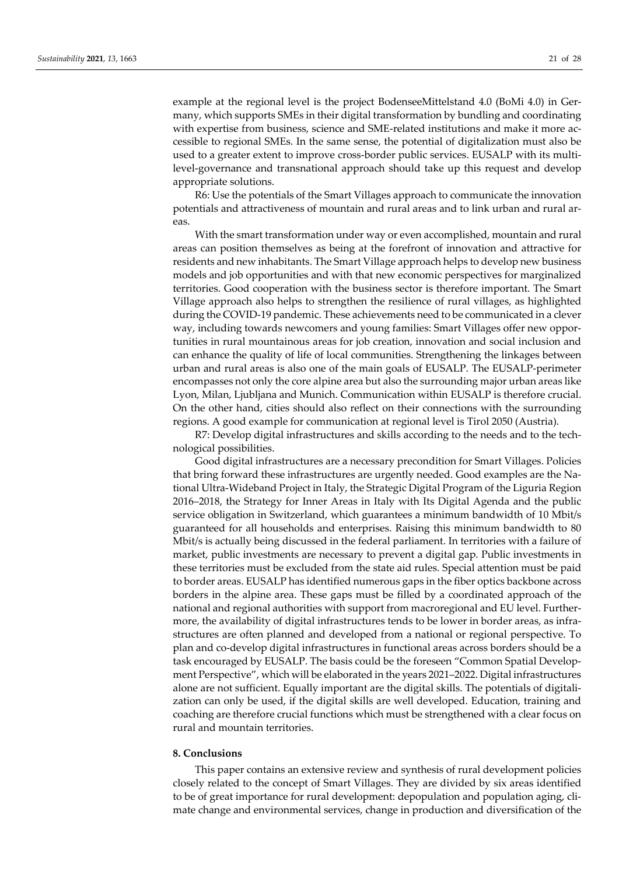example at the regional level is the project BodenseeMittelstand 4.0 (BoMi 4.0) in Germany, which supports SMEs in their digital transformation by bundling and coordinating with expertise from business, science and SME-related institutions and make it more accessible to regional SMEs. In the same sense, the potential of digitalization must also be used to a greater extent to improve cross-border public services. EUSALP with its multilevel-governance and transnational approach should take up this request and develop appropriate solutions.

R6: Use the potentials of the Smart Villages approach to communicate the innovation potentials and attractiveness of mountain and rural areas and to link urban and rural areas.

With the smart transformation under way or even accomplished, mountain and rural areas can position themselves as being at the forefront of innovation and attractive for residents and new inhabitants. The Smart Village approach helps to develop new business models and job opportunities and with that new economic perspectives for marginalized territories. Good cooperation with the business sector is therefore important. The Smart Village approach also helps to strengthen the resilience of rural villages, as highlighted during the COVID-19 pandemic. These achievements need to be communicated in a clever way, including towards newcomers and young families: Smart Villages offer new opportunities in rural mountainous areas for job creation, innovation and social inclusion and can enhance the quality of life of local communities. Strengthening the linkages between urban and rural areas is also one of the main goals of EUSALP. The EUSALP-perimeter encompasses not only the core alpine area but also the surrounding major urban areas like Lyon, Milan, Ljubljana and Munich. Communication within EUSALP is therefore crucial. On the other hand, cities should also reflect on their connections with the surrounding regions. A good example for communication at regional level is Tirol 2050 (Austria).

R7: Develop digital infrastructures and skills according to the needs and to the technological possibilities.

Good digital infrastructures are a necessary precondition for Smart Villages. Policies that bring forward these infrastructures are urgently needed. Good examples are the National Ultra-Wideband Project in Italy, the Strategic Digital Program of the Liguria Region 2016–2018, the Strategy for Inner Areas in Italy with Its Digital Agenda and the public service obligation in Switzerland, which guarantees a minimum bandwidth of 10 Mbit/s guaranteed for all households and enterprises. Raising this minimum bandwidth to 80 Mbit/s is actually being discussed in the federal parliament. In territories with a failure of market, public investments are necessary to prevent a digital gap. Public investments in these territories must be excluded from the state aid rules. Special attention must be paid to border areas. EUSALP has identified numerous gaps in the fiber optics backbone across borders in the alpine area. These gaps must be filled by a coordinated approach of the national and regional authorities with support from macroregional and EU level. Furthermore, the availability of digital infrastructures tends to be lower in border areas, as infrastructures are often planned and developed from a national or regional perspective. To plan and co-develop digital infrastructures in functional areas across borders should be a task encouraged by EUSALP. The basis could be the foreseen "Common Spatial Development Perspective", which will be elaborated in the years 2021–2022. Digital infrastructures alone are not sufficient. Equally important are the digital skills. The potentials of digitalization can only be used, if the digital skills are well developed. Education, training and coaching are therefore crucial functions which must be strengthened with a clear focus on rural and mountain territories.

# **8. Conclusions**

This paper contains an extensive review and synthesis of rural development policies closely related to the concept of Smart Villages. They are divided by six areas identified to be of great importance for rural development: depopulation and population aging, climate change and environmental services, change in production and diversification of the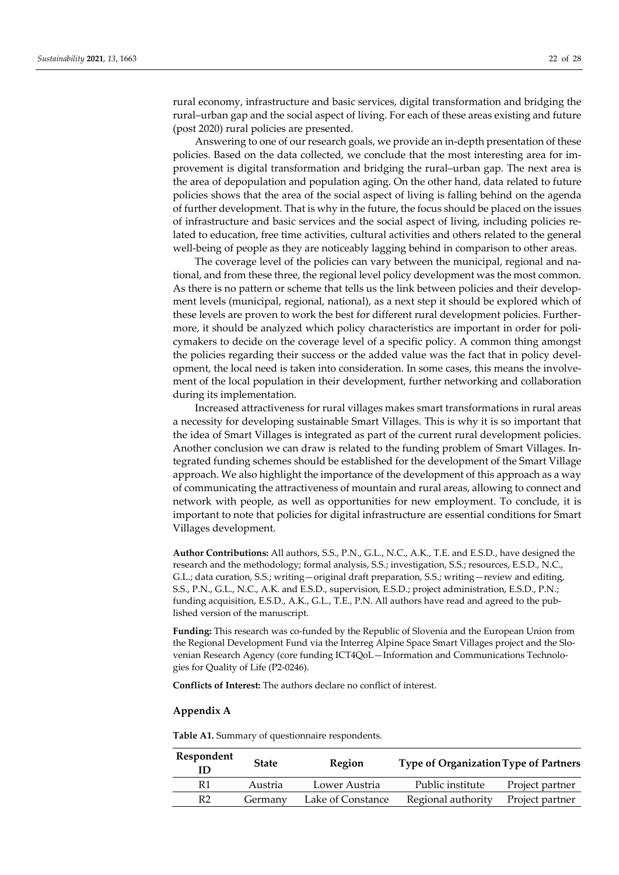rural economy, infrastructure and basic services, digital transformation and bridging the rural–urban gap and the social aspect of living. For each of these areas existing and future (post 2020) rural policies are presented.

Answering to one of our research goals, we provide an in-depth presentation of these policies. Based on the data collected, we conclude that the most interesting area for improvement is digital transformation and bridging the rural–urban gap. The next area is the area of depopulation and population aging. On the other hand, data related to future policies shows that the area of the social aspect of living is falling behind on the agenda of further development. That is why in the future, the focus should be placed on the issues of infrastructure and basic services and the social aspect of living, including policies related to education, free time activities, cultural activities and others related to the general well-being of people as they are noticeably lagging behind in comparison to other areas.

The coverage level of the policies can vary between the municipal, regional and national, and from these three, the regional level policy development was the most common. As there is no pattern or scheme that tells us the link between policies and their development levels (municipal, regional, national), as a next step it should be explored which of these levels are proven to work the best for different rural development policies. Furthermore, it should be analyzed which policy characteristics are important in order for policymakers to decide on the coverage level of a specific policy. A common thing amongst the policies regarding their success or the added value was the fact that in policy development, the local need is taken into consideration. In some cases, this means the involvement of the local population in their development, further networking and collaboration during its implementation.

Increased attractiveness for rural villages makes smart transformations in rural areas a necessity for developing sustainable Smart Villages. This is why it is so important that the idea of Smart Villages is integrated as part of the current rural development policies. Another conclusion we can draw is related to the funding problem of Smart Villages. Integrated funding schemes should be established for the development of the Smart Village approach. We also highlight the importance of the development of this approach as a way of communicating the attractiveness of mountain and rural areas, allowing to connect and network with people, as well as opportunities for new employment. To conclude, it is important to note that policies for digital infrastructure are essential conditions for Smart Villages development.

**Author Contributions:** All authors, S.S., P.N., G.L., N.C., A.K., T.E. and E.S.D., have designed the research and the methodology; formal analysis, S.S.; investigation, S.S.; resources, E.S.D., N.C., G.L.; data curation, S.S.; writing—original draft preparation, S.S.; writing—review and editing, S.S., P.N., G.L., N.C., A.K. and E.S.D., supervision, E.S.D.; project administration, E.S.D., P.N.; funding acquisition, E.S.D., A.K., G.L., T.E., P.N. All authors have read and agreed to the published version of the manuscript.

**Funding:** This research was co-funded by the Republic of Slovenia and the European Union from the Regional Development Fund via the Interreg Alpine Space Smart Villages project and the Slovenian Research Agency (core funding ICT4QoL—Information and Communications Technologies for Quality of Life (P2-0246).

**Conflicts of Interest:** The authors declare no conflict of interest.

## **Appendix A**

**Table A1.** Summary of questionnaire respondents.

| Respondent<br>ID | <b>State</b> | Region            | <b>Type of Organization Type of Partners</b> |                 |
|------------------|--------------|-------------------|----------------------------------------------|-----------------|
| R1               | Austria      | Lower Austria     | Public institute                             | Project partner |
| R2               | Germany      | Lake of Constance | Regional authority                           | Project partner |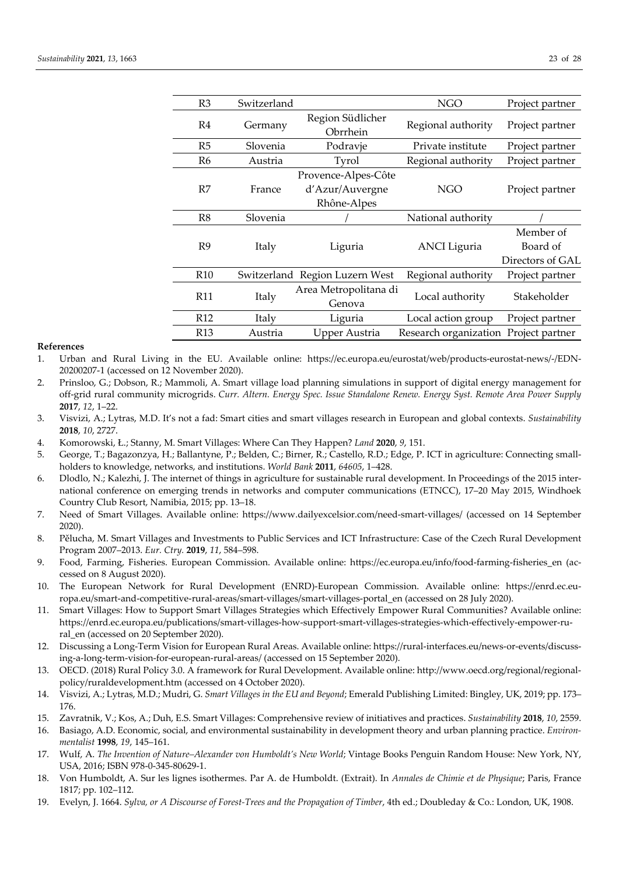| R <sub>3</sub>  | Switzerland |                                                       | <b>NGO</b>            | Project partner                           |
|-----------------|-------------|-------------------------------------------------------|-----------------------|-------------------------------------------|
| R <sub>4</sub>  | Germany     | Region Südlicher<br>Obrrhein                          | Regional authority    | Project partner                           |
| R5              | Slovenia    | Podravje                                              | Private institute     | Project partner                           |
| R6              | Austria     | Tyrol                                                 | Regional authority    | Project partner                           |
| R7              | France      | Provence-Alpes-Côte<br>d'Azur/Auvergne<br>Rhône-Alpes | NGO                   | Project partner                           |
| R8              | Slovenia    |                                                       | National authority    |                                           |
| R <sub>9</sub>  | Italy       | Liguria                                               | <b>ANCI</b> Liguria   | Member of<br>Board of<br>Directors of GAL |
| R <sub>10</sub> |             | Switzerland Region Luzern West                        | Regional authority    | Project partner                           |
| R <sub>11</sub> | Italy       | Area Metropolitana di<br>Genova                       | Local authority       | Stakeholder                               |
| R <sub>12</sub> | Italy       | Liguria                                               | Local action group    | Project partner                           |
| R <sub>13</sub> | Austria     | Upper Austria                                         | Research organization | Project partner                           |

## **References**

- 1. Urban and Rural Living in the EU. Available online: https://ec.europa.eu/eurostat/web/products-eurostat-news/-/EDN-20200207-1 (accessed on 12 November 2020).
- 2. Prinsloo, G.; Dobson, R.; Mammoli, A. Smart village load planning simulations in support of digital energy management for off-grid rural community microgrids. *Curr. Altern. Energy Spec. Issue Standalone Renew. Energy Syst. Remote Area Power Supply*  **2017**, *12*, 1–22.
- 3. Visvizi, A.; Lytras, M.D. It's not a fad: Smart cities and smart villages research in European and global contexts. *Sustainability*  **2018**, *10*, 2727.
- 4. Komorowski, Ł.; Stanny, M. Smart Villages: Where Can They Happen? *Land* **2020**, *9*, 151.
- 5. George, T.; Bagazonzya, H.; Ballantyne, P.; Belden, C.; Birner, R.; Castello, R.D.; Edge, P. ICT in agriculture: Connecting smallholders to knowledge, networks, and institutions. *World Bank* **2011**, *64605*, 1–428.
- 6. Dlodlo, N.; Kalezhi, J. The internet of things in agriculture for sustainable rural development. In Proceedings of the 2015 international conference on emerging trends in networks and computer communications (ETNCC), 17–20 May 2015, Windhoek Country Club Resort, Namibia, 2015; pp. 13–18.
- 7. Need of Smart Villages. Available online: https://www.dailyexcelsior.com/need-smart-villages/ (accessed on 14 September 2020).
- 8. Pělucha, M. Smart Villages and Investments to Public Services and ICT Infrastructure: Case of the Czech Rural Development Program 2007–2013. *Eur. Ctry.* **2019**, *11*, 584–598.
- 9. Food, Farming, Fisheries. European Commission. Available online: https://ec.europa.eu/info/food-farming-fisheries\_en (accessed on 8 August 2020).
- 10. The European Network for Rural Development (ENRD)-European Commission. Available online: https://enrd.ec.europa.eu/smart-and-competitive-rural-areas/smart-villages/smart-villages-portal\_en (accessed on 28 July 2020).
- 11. Smart Villages: How to Support Smart Villages Strategies which Effectively Empower Rural Communities? Available online: https://enrd.ec.europa.eu/publications/smart-villages-how-support-smart-villages-strategies-which-effectively-empower-rural\_en (accessed on 20 September 2020).
- 12. Discussing a Long-Term Vision for European Rural Areas. Available online: https://rural-interfaces.eu/news-or-events/discussing-a-long-term-vision-for-european-rural-areas/ (accessed on 15 September 2020).
- 13. OECD. (2018) Rural Policy 3.0. A framework for Rural Development. Available online: http://www.oecd.org/regional/regionalpolicy/ruraldevelopment.htm (accessed on 4 October 2020).
- 14. Visvizi, A.; Lytras, M.D.; Mudri, G. *Smart Villages in the EU and Beyond*; Emerald Publishing Limited: Bingley, UK, 2019; pp. 173– 176.
- 15. Zavratnik, V.; Kos, A.; Duh, E.S. Smart Villages: Comprehensive review of initiatives and practices. *Sustainability* **2018**, *10*, 2559.
- 16. Basiago, A.D. Economic, social, and environmental sustainability in development theory and urban planning practice. *Environmentalist* **1998**, *19*, 145–161.
- 17. Wulf, A. *The Invention of Nature–Alexander von Humboldt's New World*; Vintage Books Penguin Random House: New York, NY, USA, 2016; ISBN 978-0-345-80629-1.
- 18. Von Humboldt, A. Sur les lignes isothermes. Par A. de Humboldt. (Extrait). In *Annales de Chimie et de Physique*; Paris, France 1817; pp. 102–112.
- 19. Evelyn, J. 1664. *Sylva, or A Discourse of Forest-Trees and the Propagation of Timber*, 4th ed.; Doubleday & Co.: London, UK, 1908.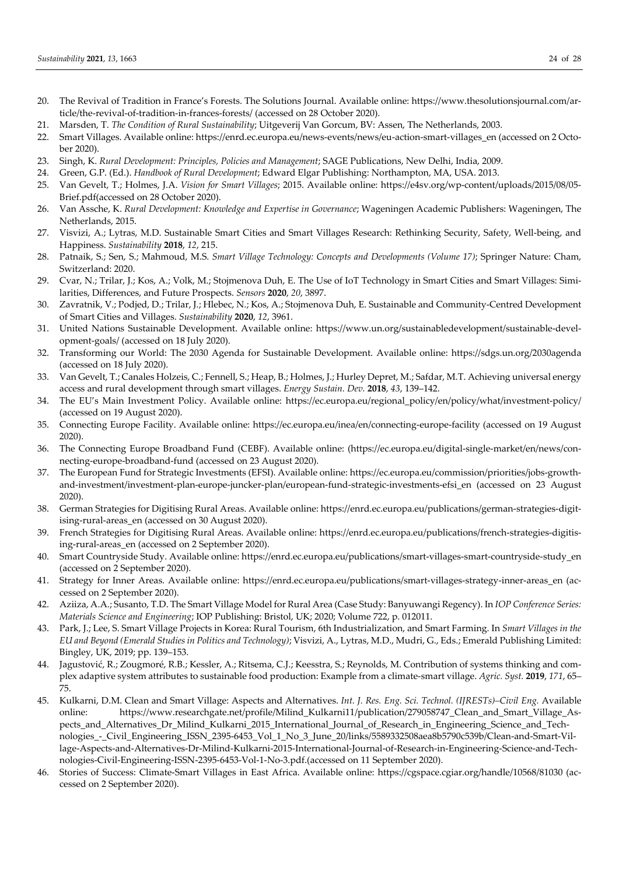- 20. The Revival of Tradition in France's Forests. The Solutions Journal. Available online: https://www.thesolutionsjournal.com/article/the-revival-of-tradition-in-frances-forests/ (accessed on 28 October 2020).
- 21. Marsden, T. *The Condition of Rural Sustainability*; Uitgeverij Van Gorcum, BV: Assen, The Netherlands, 2003.
- 22. Smart Villages. Available online: https://enrd.ec.europa.eu/news-events/news/eu-action-smart-villages\_en (accessed on 2 October 2020).
- 23. Singh, K. *Rural Development: Principles, Policies and Management*; SAGE Publications, New Delhi, India, 2009.
- 24. Green, G.P. (Ed.). *Handbook of Rural Development*; Edward Elgar Publishing: Northampton, MA, USA. 2013.
- 25. Van Gevelt, T.; Holmes, J.A. *Vision for Smart Villages*; 2015. Available online: https://e4sv.org/wp-content/uploads/2015/08/05- Brief.pdf(accessed on 28 October 2020).
- 26. Van Assche, K. *Rural Development: Knowledge and Expertise in Governance*; Wageningen Academic Publishers: Wageningen, The Netherlands, 2015.
- 27. Visvizi, A.; Lytras, M.D. Sustainable Smart Cities and Smart Villages Research: Rethinking Security, Safety, Well-being, and Happiness. *Sustainability* **2018**, *12*, 215.
- 28. Patnaik, S.; Sen, S.; Mahmoud, M.S. *Smart Village Technology: Concepts and Developments (Volume 17)*; Springer Nature: Cham, Switzerland: 2020.
- 29. Cvar, N.; Trilar, J.; Kos, A.; Volk, M.; Stojmenova Duh, E. The Use of IoT Technology in Smart Cities and Smart Villages: Similarities, Differences, and Future Prospects. *Sensors* **2020**, *20*, 3897.
- 30. Zavratnik, V.; Podjed, D.; Trilar, J.; Hlebec, N.; Kos, A.; Stojmenova Duh, E. Sustainable and Community-Centred Development of Smart Cities and Villages. *Sustainability* **2020**, *12*, 3961.
- 31. United Nations Sustainable Development. Available online: https://www.un.org/sustainabledevelopment/sustainable-development-goals/ (accessed on 18 July 2020).
- 32. Transforming our World: The 2030 Agenda for Sustainable Development. Available online: https://sdgs.un.org/2030agenda (accessed on 18 July 2020).
- 33. Van Gevelt, T.; Canales Holzeis, C.; Fennell, S.; Heap, B.; Holmes, J.; Hurley Depret, M.; Safdar, M.T. Achieving universal energy access and rural development through smart villages. *Energy Sustain. Dev.* **2018**, *43*, 139–142.
- 34. The EU's Main Investment Policy. Available online: https://ec.europa.eu/regional\_policy/en/policy/what/investment-policy/ (accessed on 19 August 2020).
- 35. Connecting Europe Facility. Available online: https://ec.europa.eu/inea/en/connecting-europe-facility (accessed on 19 August 2020).
- 36. The Connecting Europe Broadband Fund (CEBF). Available online: (https://ec.europa.eu/digital-single-market/en/news/connecting-europe-broadband-fund (accessed on 23 August 2020).
- 37. The European Fund for Strategic Investments (EFSI). Available online: https://ec.europa.eu/commission/priorities/jobs-growthand-investment/investment-plan-europe-juncker-plan/european-fund-strategic-investments-efsi\_en (accessed on 23 August 2020).
- 38. German Strategies for Digitising Rural Areas. Available online: https://enrd.ec.europa.eu/publications/german-strategies-digitising-rural-areas\_en (accessed on 30 August 2020).
- 39. French Strategies for Digitising Rural Areas. Available online: https://enrd.ec.europa.eu/publications/french-strategies-digitising-rural-areas\_en (accessed on 2 September 2020).
- 40. Smart Countryside Study. Available online: https://enrd.ec.europa.eu/publications/smart-villages-smart-countryside-study\_en (accessed on 2 September 2020).
- 41. Strategy for Inner Areas. Available online: https://enrd.ec.europa.eu/publications/smart-villages-strategy-inner-areas\_en (accessed on 2 September 2020).
- 42. Aziiza, A.A.; Susanto, T.D. The Smart Village Model for Rural Area (Case Study: Banyuwangi Regency). In *IOP Conference Series: Materials Science and Engineering*; IOP Publishing: Bristol, UK; 2020; Volume 722, p. 012011.
- 43. Park, J.; Lee, S. Smart Village Projects in Korea: Rural Tourism, 6th Industrialization, and Smart Farming. In *Smart Villages in the EU and Beyond (Emerald Studies in Politics and Technology)*; Visvizi, A., Lytras, M.D., Mudri, G., Eds.; Emerald Publishing Limited: Bingley, UK, 2019; pp. 139–153.
- 44. Jagustović, R.; Zougmoré, R.B.; Kessler, A.; Ritsema, C.J.; Keesstra, S.; Reynolds, M. Contribution of systems thinking and complex adaptive system attributes to sustainable food production: Example from a climate-smart village. *Agric. Syst.* **2019**, *171*, 65– 75.
- 45. Kulkarni, D.M. Clean and Smart Village: Aspects and Alternatives. *Int. J. Res. Eng. Sci. Technol. (IJRESTs)–Civil Eng.* Available online: https://www.researchgate.net/profile/Milind\_Kulkarni11/publication/279058747\_Clean\_and\_Smart\_Village\_Aspects\_and\_Alternatives\_Dr\_Milind\_Kulkarni\_2015\_International\_Journal\_of\_Research\_in\_Engineering\_Science\_and\_Technologies\_-\_Civil\_Engineering\_ISSN\_2395-6453\_Vol\_1\_No\_3\_June\_20/links/5589332508aea8b5790c539b/Clean-and-Smart-Village-Aspects-and-Alternatives-Dr-Milind-Kulkarni-2015-International-Journal-of-Research-in-Engineering-Science-and-Technologies-Civil-Engineering-ISSN-2395-6453-Vol-1-No-3.pdf.(accessed on 11 September 2020).
- 46. Stories of Success: Climate-Smart Villages in East Africa. Available online: https://cgspace.cgiar.org/handle/10568/81030 (accessed on 2 September 2020).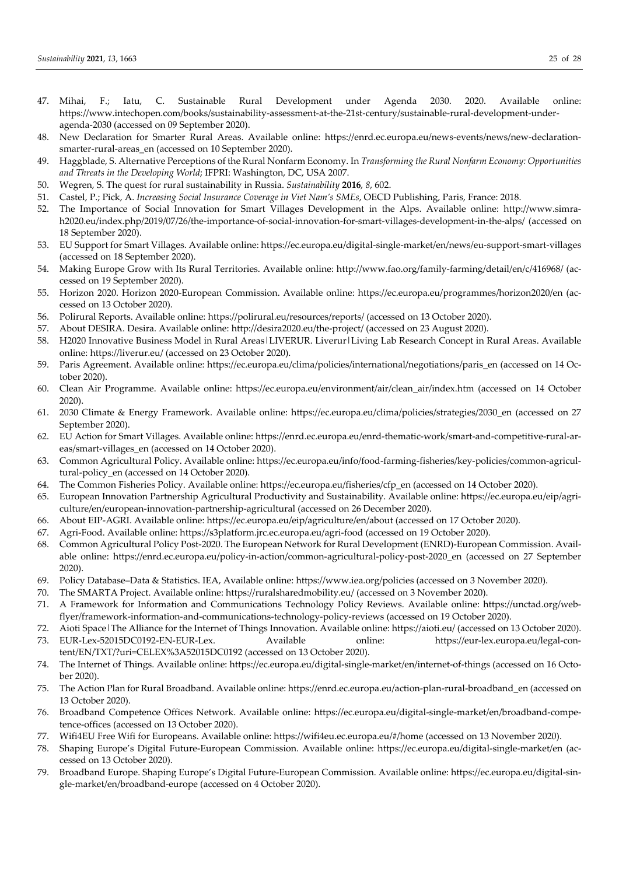- 47. Mihai, F.; Iatu, C. Sustainable Rural Development under Agenda 2030. 2020. Available online: https://www.intechopen.com/books/sustainability-assessment-at-the-21st-century/sustainable-rural-development-underagenda-2030 (accessed on 09 September 2020).
- 48. New Declaration for Smarter Rural Areas. Available online: https://enrd.ec.europa.eu/news-events/news/new-declarationsmarter-rural-areas\_en (accessed on 10 September 2020).
- 49. Haggblade, S. Alternative Perceptions of the Rural Nonfarm Economy. In *Transforming the Rural Nonfarm Economy: Opportunities and Threats in the Developing World*; IFPRI: Washington, DC, USA 2007.
- 50. Wegren, S. The quest for rural sustainability in Russia. *Sustainability* **2016**, *8*, 602.
- 51. Castel, P.; Pick, A. *Increasing Social Insurance Coverage in Viet Nam's SMEs*, OECD Publishing, Paris, France: 2018.
- 52. The Importance of Social Innovation for Smart Villages Development in the Alps. Available online: http://www.simrah2020.eu/index.php/2019/07/26/the-importance-of-social-innovation-for-smart-villages-development-in-the-alps/ (accessed on 18 September 2020).
- 53. EU Support for Smart Villages. Available online: https://ec.europa.eu/digital-single-market/en/news/eu-support-smart-villages (accessed on 18 September 2020).
- 54. Making Europe Grow with Its Rural Territories. Available online: http://www.fao.org/family-farming/detail/en/c/416968/ (accessed on 19 September 2020).
- 55. Horizon 2020. Horizon 2020-European Commission. Available online: https://ec.europa.eu/programmes/horizon2020/en (accessed on 13 October 2020).
- 56. Polirural Reports. Available online: https://polirural.eu/resources/reports/ (accessed on 13 October 2020).
- 57. About DESIRA. Desira. Available online: http://desira2020.eu/the-project/ (accessed on 23 August 2020).
- 58. H2020 Innovative Business Model in Rural Areas*|*LIVERUR. Liverur*|*Living Lab Research Concept in Rural Areas. Available online: https://liverur.eu/ (accessed on 23 October 2020).
- 59. Paris Agreement. Available online: https://ec.europa.eu/clima/policies/international/negotiations/paris\_en (accessed on 14 October 2020).
- 60. Clean Air Programme. Available online: https://ec.europa.eu/environment/air/clean\_air/index.htm (accessed on 14 October 2020).
- 61. 2030 Climate & Energy Framework. Available online: https://ec.europa.eu/clima/policies/strategies/2030\_en (accessed on 27 September 2020).
- 62. EU Action for Smart Villages. Available online: https://enrd.ec.europa.eu/enrd-thematic-work/smart-and-competitive-rural-areas/smart-villages\_en (accessed on 14 October 2020).
- 63. Common Agricultural Policy. Available online: https://ec.europa.eu/info/food-farming-fisheries/key-policies/common-agricultural-policy en (accessed on 14 October 2020).
- 64. The Common Fisheries Policy. Available online: https://ec.europa.eu/fisheries/cfp\_en (accessed on 14 October 2020).
- 65. European Innovation Partnership Agricultural Productivity and Sustainability. Available online: https://ec.europa.eu/eip/agriculture/en/european-innovation-partnership-agricultural (accessed on 26 December 2020).
- 66. About EIP-AGRI. Available online: https://ec.europa.eu/eip/agriculture/en/about (accessed on 17 October 2020).
- 67. Agri-Food. Available online: https://s3platform.jrc.ec.europa.eu/agri-food (accessed on 19 October 2020).
- 68. Common Agricultural Policy Post-2020. The European Network for Rural Development (ENRD)-European Commission. Available online: https://enrd.ec.europa.eu/policy-in-action/common-agricultural-policy-post-2020\_en (accessed on 27 September 2020).
- 69. Policy Database–Data & Statistics. IEA, Available online: https://www.iea.org/policies (accessed on 3 November 2020).
- 70. The SMARTA Project. Available online: https://ruralsharedmobility.eu/ (accessed on 3 November 2020).
- 71. A Framework for Information and Communications Technology Policy Reviews. Available online: https://unctad.org/webflyer/framework-information-and-communications-technology-policy-reviews (accessed on 19 October 2020).
- 72. Aioti Space*|*The Alliance for the Internet of Things Innovation. Available online: https://aioti.eu/ (accessed on 13 October 2020).
- 73. EUR-Lex-52015DC0192-EN-EUR-Lex. Available online: https://eur-lex.europa.eu/legal-content/EN/TXT/?uri=CELEX%3A52015DC0192 (accessed on 13 October 2020).
- 74. The Internet of Things. Available online: https://ec.europa.eu/digital-single-market/en/internet-of-things (accessed on 16 October 2020).
- 75. The Action Plan for Rural Broadband. Available online: https://enrd.ec.europa.eu/action-plan-rural-broadband\_en (accessed on 13 October 2020).
- 76. Broadband Competence Offices Network. Available online: https://ec.europa.eu/digital-single-market/en/broadband-competence-offices (accessed on 13 October 2020).
- 77. Wifi4EU Free Wifi for Europeans. Available online: https://wifi4eu.ec.europa.eu/#/home (accessed on 13 November 2020).
- 78. Shaping Europe's Digital Future-European Commission. Available online: https://ec.europa.eu/digital-single-market/en (accessed on 13 October 2020).
- 79. Broadband Europe. Shaping Europe's Digital Future-European Commission. Available online: https://ec.europa.eu/digital-single-market/en/broadband-europe (accessed on 4 October 2020).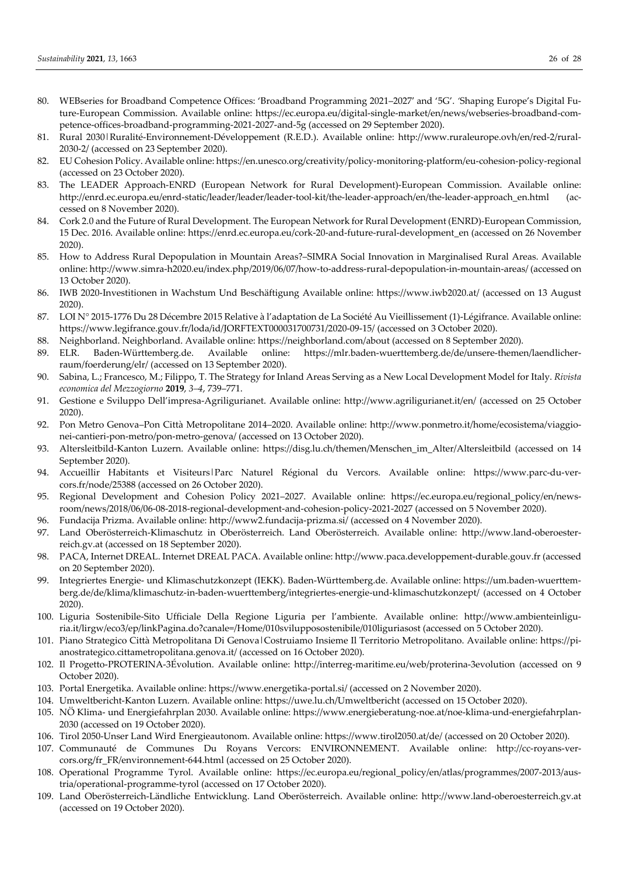- 80. WEBseries for Broadband Competence Offices: 'Broadband Programming 2021–2027′ and '5G'. *'*Shaping Europe's Digital Future-European Commission. Available online: https://ec.europa.eu/digital-single-market/en/news/webseries-broadband-competence-offices-broadband-programming-2021-2027-and-5g (accessed on 29 September 2020).
- 81. Rural 2030*|*Ruralité-Environnement-Développement (R.E.D.). Available online: http://www.ruraleurope.ovh/en/red-2/rural-2030-2/ (accessed on 23 September 2020).
- 82. EU Cohesion Policy. Available online: https://en.unesco.org/creativity/policy-monitoring-platform/eu-cohesion-policy-regional (accessed on 23 October 2020).
- 83. The LEADER Approach-ENRD (European Network for Rural Development)-European Commission. Available online: http://enrd.ec.europa.eu/enrd-static/leader/leader/leader-tool-kit/the-leader-approach/en/the-leader-approach\_en.html (accessed on 8 November 2020).
- 84. Cork 2.0 and the Future of Rural Development. The European Network for Rural Development (ENRD)-European Commission, 15 Dec. 2016. Available online: https://enrd.ec.europa.eu/cork-20-and-future-rural-development\_en (accessed on 26 November 2020).
- 85. How to Address Rural Depopulation in Mountain Areas?–SIMRA Social Innovation in Marginalised Rural Areas. Available online: http://www.simra-h2020.eu/index.php/2019/06/07/how-to-address-rural-depopulation-in-mountain-areas/ (accessed on 13 October 2020).
- 86. IWB 2020-Investitionen in Wachstum Und Beschäftigung Available online: https://www.iwb2020.at/ (accessed on 13 August 2020).
- 87. LOI N° 2015-1776 Du 28 Décembre 2015 Relative à l'adaptation de La Société Au Vieillissement (1)-Légifrance. Available online: https://www.legifrance.gouv.fr/loda/id/JORFTEXT000031700731/2020-09-15/ (accessed on 3 October 2020).
- 88. Neighborland. Neighborland. Available online: https://neighborland.com/about (accessed on 8 September 2020).
- 89. ELR. Baden-Württemberg.de. Available online: https://mlr.baden-wuerttemberg.de/de/unsere-themen/laendlicherraum/foerderung/elr/ (accessed on 13 September 2020).
- 90. Sabina, L.; Francesco, M.; Filippo, T. The Strategy for Inland Areas Serving as a New Local Development Model for Italy. *Rivista economica del Mezzogiorno* **2019**, *3–4*, 739–771.
- 91. Gestione e Sviluppo Dell'impresa-Agriligurianet. Available online: http://www.agriligurianet.it/en/ (accessed on 25 October 2020).
- 92. Pon Metro Genova–Pon Città Metropolitane 2014–2020. Available online: http://www.ponmetro.it/home/ecosistema/viaggionei-cantieri-pon-metro/pon-metro-genova/ (accessed on 13 October 2020).
- 93. Altersleitbild-Kanton Luzern. Available online: https://disg.lu.ch/themen/Menschen\_im\_Alter/Altersleitbild (accessed on 14 September 2020).
- 94. Accueillir Habitants et Visiteurs|Parc Naturel Régional du Vercors. Available online: https://www.parc-du-vercors.fr/node/25388 (accessed on 26 October 2020).
- 95. Regional Development and Cohesion Policy 2021–2027. Available online: https://ec.europa.eu/regional\_policy/en/newsroom/news/2018/06/06-08-2018-regional-development-and-cohesion-policy-2021-2027 (accessed on 5 November 2020).
- 96. Fundacija Prizma. Available online: http://www2.fundacija-prizma.si/ (accessed on 4 November 2020).
- 97. Land Oberösterreich-Klimaschutz in Oberösterreich. Land Oberösterreich. Available online: http://www.land-oberoesterreich.gv.at (accessed on 18 September 2020).
- 98. PACA, Internet DREAL. Internet DREAL PACA. Available online: http://www.paca.developpement-durable.gouv.fr (accessed on 20 September 2020).
- 99. Integriertes Energie- und Klimaschutzkonzept (IEKK). Baden-Württemberg.de. Available online: https://um.baden-wuerttemberg.de/de/klima/klimaschutz-in-baden-wuerttemberg/integriertes-energie-und-klimaschutzkonzept/ (accessed on 4 October 2020).
- 100. Liguria Sostenibile-Sito Ufficiale Della Regione Liguria per l'ambiente. Available online: http://www.ambienteinliguria.it/lirgw/eco3/ep/linkPagina.do?canale=/Home/010svilupposostenibile/010liguriasost (accessed on 5 October 2020).
- 101. Piano Strategico Città Metropolitana Di Genova*|*Costruiamo Insieme Il Territorio Metropolitano. Available online: https://pianostrategico.cittametropolitana.genova.it/ (accessed on 16 October 2020).
- 102. Il Progetto-PROTERINA-3Évolution. Available online: http://interreg-maritime.eu/web/proterina-3evolution (accessed on 9 October 2020).
- 103. Portal Energetika. Available online: https://www.energetika-portal.si/ (accessed on 2 November 2020).
- 104. Umweltbericht-Kanton Luzern. Available online: https://uwe.lu.ch/Umweltbericht (accessed on 15 October 2020).
- 105. NÖ Klima- und Energiefahrplan 2030. Available online: https://www.energieberatung-noe.at/noe-klima-und-energiefahrplan-2030 (accessed on 19 October 2020).
- 106. Tirol 2050-Unser Land Wird Energieautonom. Available online: https://www.tirol2050.at/de/ (accessed on 20 October 2020).
- 107. Communauté de Communes Du Royans Vercors: ENVIRONNEMENT. Available online: http://cc-royans-vercors.org/fr\_FR/environnement-644.html (accessed on 25 October 2020).
- 108. Operational Programme Tyrol. Available online: https://ec.europa.eu/regional\_policy/en/atlas/programmes/2007-2013/austria/operational-programme-tyrol (accessed on 17 October 2020).
- 109. Land Oberösterreich-Ländliche Entwicklung. Land Oberösterreich. Available online: http://www.land-oberoesterreich.gv.at (accessed on 19 October 2020).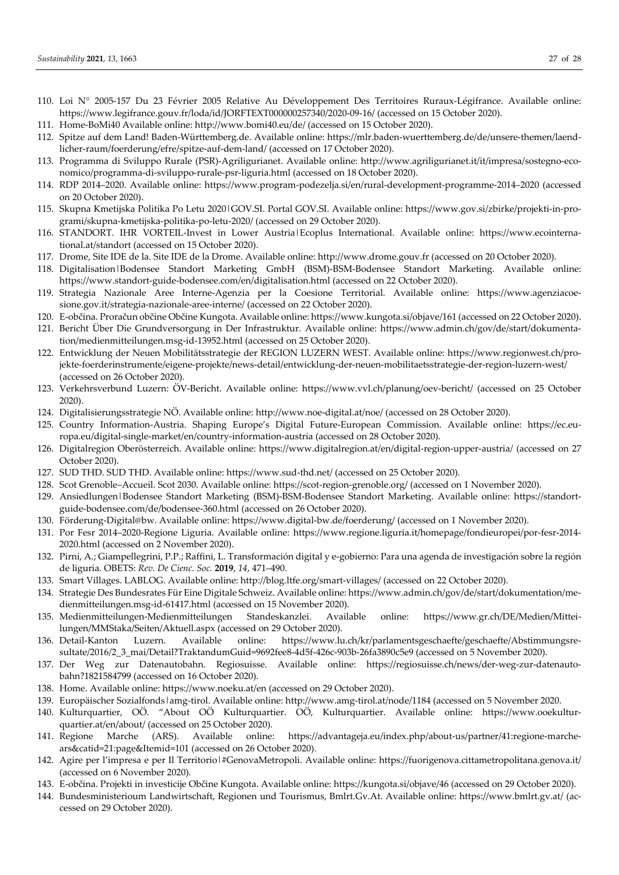- 110. Loi N° 2005-157 Du 23 Février 2005 Relative Au Développement Des Territoires Ruraux-Légifrance. Available online: https://www.legifrance.gouv.fr/loda/id/JORFTEXT000000257340/2020-09-16/ (accessed on 15 October 2020).
- 111. Home-BoMi40 Available online: http://www.bomi40.eu/de/ (accessed on 15 October 2020).
- 112. Spitze auf dem Land! Baden-Württemberg.de. Available online: https://mlr.baden-wuerttemberg.de/de/unsere-themen/laendlicher-raum/foerderung/efre/spitze-auf-dem-land/ (accessed on 17 October 2020).
- 113. Programma di Sviluppo Rurale (PSR)-Agriligurianet. Available online: http://www.agriligurianet.it/it/impresa/sostegno-economico/programma-di-sviluppo-rurale-psr-liguria.html (accessed on 18 October 2020).
- 114. RDP 2014–2020. Available online: https://www.program-podezelja.si/en/rural-development-programme-2014–2020 (accessed on 20 October 2020).
- 115. Skupna Kmetijska Politika Po Letu 2020*|*GOV.SI. Portal GOV.SI. Available online: https://www.gov.si/zbirke/projekti-in-programi/skupna-kmetijska-politika-po-letu-2020/ (accessed on 29 October 2020).
- 116. STANDORT. IHR VORTEIL-Invest in Lower Austria|Ecoplus International. Available online: https://www.ecointernational.at/standort (accessed on 15 October 2020).
- 117. Drome, Site IDE de la. Site IDE de la Drome. Available online: http://www.drome.gouv.fr (accessed on 20 October 2020).
- 118. Digitalisation*|*Bodensee Standort Marketing GmbH (BSM)-BSM-Bodensee Standort Marketing. Available online: https://www.standort-guide-bodensee.com/en/digitalisation.html (accessed on 22 October 2020).
- 119. Strategia Nazionale Aree Interne-Agenzia per la Coesione Territorial. Available online: https://www.agenziacoesione.gov.it/strategia-nazionale-aree-interne/ (accessed on 22 October 2020).
- 120. E-občina. Proračun občine Občine Kungota. Available online: https://www.kungota.si/objave/161 (accessed on 22 October 2020).
- 121. Bericht Über Die Grundversorgung in Der Infrastruktur. Available online: https://www.admin.ch/gov/de/start/dokumentation/medienmitteilungen.msg-id-13952.html (accessed on 25 October 2020).
- 122. Entwicklung der Neuen Mobilitätsstrategie der REGION LUZERN WEST. Available online: https://www.regionwest.ch/projekte-foerderinstrumente/eigene-projekte/news-detail/entwicklung-der-neuen-mobilitaetsstrategie-der-region-luzern-west/ (accessed on 26 October 2020).
- 123. Verkehrsverbund Luzern: ÖV-Bericht. Available online: https://www.vvl.ch/planung/oev-bericht/ (accessed on 25 October 2020).
- 124. Digitalisierungsstrategie NÖ. Available online: http://www.noe-digital.at/noe/ (accessed on 28 October 2020).
- 125. Country Information-Austria. Shaping Europe's Digital Future-European Commission. Available online: https://ec.europa.eu/digital-single-market/en/country-information-austria (accessed on 28 October 2020).
- 126. Digitalregion Oberösterreich. Available online: https://www.digitalregion.at/en/digital-region-upper-austria/ (accessed on 27 October 2020).
- 127. SUD THD. SUD THD. Available online: https://www.sud-thd.net/ (accessed on 25 October 2020).
- 128. Scot Grenoble–Accueil. Scot 2030. Available online: https://scot-region-grenoble.org/ (accessed on 1 November 2020).
- 129. Ansiedlungen*|*Bodensee Standort Marketing (BSM)-BSM-Bodensee Standort Marketing. Available online: https://standortguide-bodensee.com/de/bodensee-360.html (accessed on 26 October 2020).
- 130. Förderung-Digital@bw. Available online: https://www.digital-bw.de/foerderung/ (accessed on 1 November 2020).
- 131. Por Fesr 2014–2020-Regione Liguria. Available online: https://www.regione.liguria.it/homepage/fondieuropei/por-fesr-2014- 2020.html (accessed on 2 November 2020).
- 132. Pirni, A.; Giampellegrini, P.P.; Raffini, L. Transformación digital y e-gobierno: Para una agenda de investigación sobre la región de liguria. OBETS: *Rev. De Cienc. Soc.* **2019**, *14*, 471–490.
- 133. Smart Villages. LABLOG. Available online: http://blog.ltfe.org/smart-villages/ (accessed on 22 October 2020).
- 134. Strategie Des Bundesrates Für Eine Digitale Schweiz. Available online: https://www.admin.ch/gov/de/start/dokumentation/medienmitteilungen.msg-id-61417.html (accessed on 15 November 2020).
- 135. Medienmitteilungen-Medienmitteilungen Standeskanzlei. Available online: https://www.gr.ch/DE/Medien/Mitteilungen/MMStaka/Seiten/Aktuell.aspx (accessed on 29 October 2020).
- 136. Detail-Kanton Luzern. Available online: https://www.lu.ch/kr/parlamentsgeschaefte/geschaefte/Abstimmungsresultate/2016/2\_3\_mai/Detail?TraktandumGuid=9692fee8-4d5f-426c-903b-26fa3890c5e9 (accessed on 5 November 2020).
- 137. Der Weg zur Datenautobahn. Regiosuisse. Available online: https://regiosuisse.ch/news/der-weg-zur-datenautobahn?1821584799 (accessed on 16 October 2020).
- 138. Home. Available online: https://www.noeku.at/en (accessed on 29 October 2020).
- 139. Europäischer Sozialfonds*|*amg-tirol. Available online: http://www.amg-tirol.at/node/1184 (accessed on 5 November 2020.
- 140. Kulturquartier, OÖ. "About OÖ Kulturquartier. OÖ, Kulturquartier. Available online: https://www.ooekulturquartier.at/en/about/ (accessed on 25 October 2020).
- 141. Regione Marche (ARS). Available online: https://advantageja.eu/index.php/about-us/partner/41:regione-marchears&catid=21:page&Itemid=101 (accessed on 26 October 2020).
- 142. Agire per l'impresa e per Il Territorio*|*#GenovaMetropoli. Available online: https://fuorigenova.cittametropolitana.genova.it/ (accessed on 6 November 2020).
- 143. E-občina. Projekti in investicije Občine Kungota. Available online: https://kungota.si/objave/46 (accessed on 29 October 2020).
- 144. Bundesministerioum Landwirtschaft, Regionen und Tourismus, Bmlrt.Gv.At. Available online: https://www.bmlrt.gv.at/ (accessed on 29 October 2020).